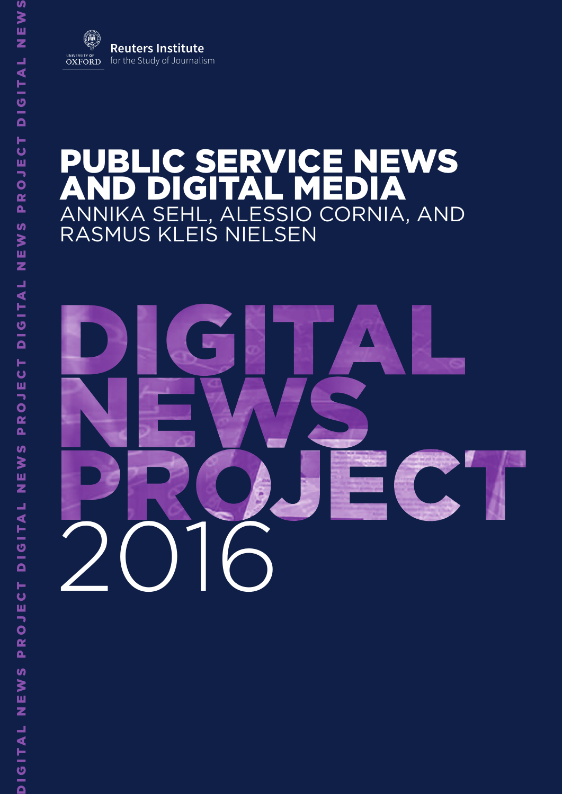

# **PUBLIC SERVICE NEWS AND DIGITAL MEDIA** ANNIKA SEHL, ALESSIO CORNIA, AND RASMUS KLEIS NIELSEN

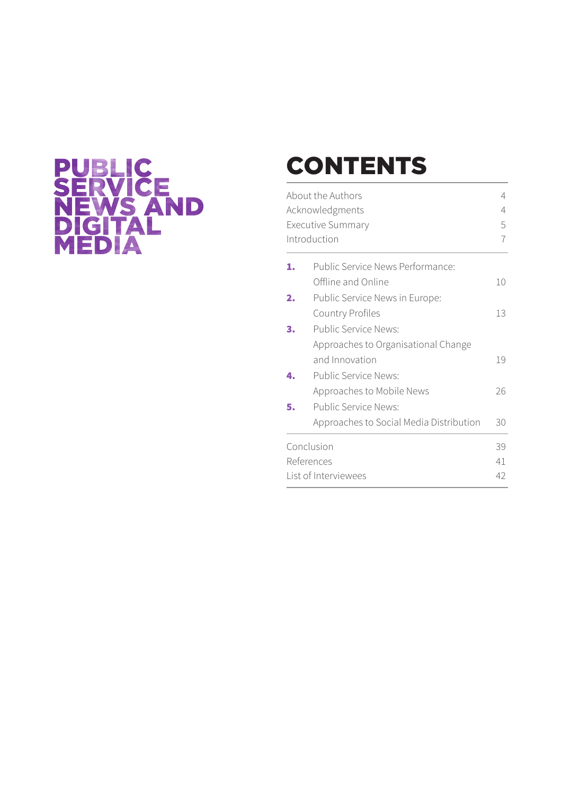# **PUBLIC<br>SERVICE<br>NEWS AND<br>DIGITAL<br>MEDIA**

# **CONTENTS**

| About the Authors<br>Acknowledgments |                                         |    |  |                          |  |
|--------------------------------------|-----------------------------------------|----|--|--------------------------|--|
|                                      |                                         |    |  | <b>Executive Summary</b> |  |
|                                      | Introduction                            | 7  |  |                          |  |
| 1.                                   | Public Service News Performance:        |    |  |                          |  |
|                                      | Offline and Online                      | 10 |  |                          |  |
| $\mathbf{2}$                         | Public Service News in Europe:          |    |  |                          |  |
|                                      | <b>Country Profiles</b>                 | 13 |  |                          |  |
| 3.                                   | Public Service News:                    |    |  |                          |  |
|                                      | Approaches to Organisational Change     |    |  |                          |  |
|                                      | and Innovation                          | 19 |  |                          |  |
| 4.                                   | Public Service News:                    |    |  |                          |  |
|                                      | Approaches to Mobile News               | 26 |  |                          |  |
| 5.                                   | Public Service News:                    |    |  |                          |  |
|                                      | Approaches to Social Media Distribution | 30 |  |                          |  |
|                                      | Conclusion                              | 39 |  |                          |  |
|                                      | References                              | 41 |  |                          |  |
|                                      | List of Interviewees                    | 42 |  |                          |  |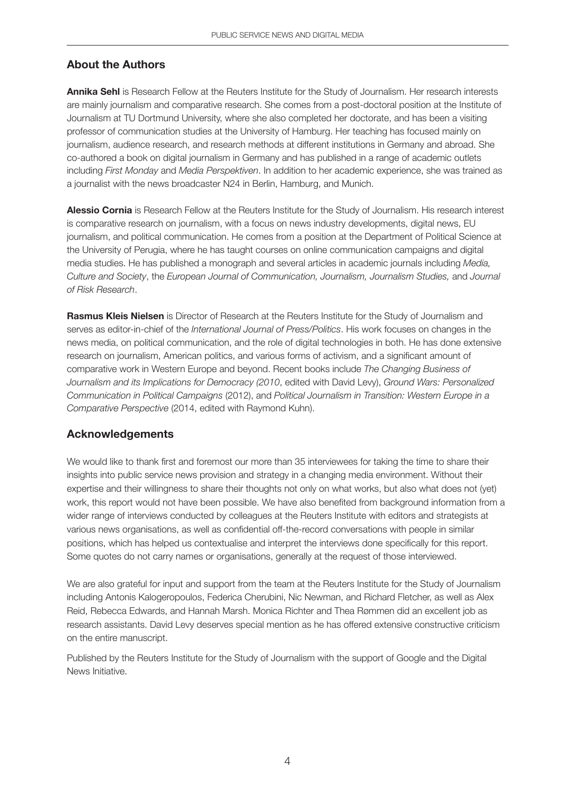#### **About the Authors**

**Annika Sehl** is Research Fellow at the Reuters Institute for the Study of Journalism. Her research interests are mainly journalism and comparative research. She comes from a post-doctoral position at the institute of Journalism at TU Dortmund University, where she also completed her doctorate, and has been a visiting professor of communication studies at the University of Hamburg. Her teaching has focused mainly on journalism, audience research, and research methods at different institutions in germany and abroad. She co-authored a book on digital journalism in germany and has published in a range of academic outlets including *First Monday* and *Media Perspektiven*. in addition to her academic experience, she was trained as a journalist with the news broadcaster N24 in Berlin, Hamburg, and Munich.

**Alessio Cornia** is Research Fellow at the Reuters Institute for the Study of Journalism. His research interest is comparative research on journalism, with a focus on news industry developments, digital news, EU journalism, and political communication. He comes from a position at the Department of Political Science at the university of Perugia, where he has taught courses on online communication campaigns and digital media studies. He has published a monograph and several articles in academic journals including *Media, Culture and Society*, the *European Journal of Communication, Journalism, Journalism Studies,* and *Journal of Risk Research*.

**Rasmus Kleis Nielsen** is Director of Research at the Reuters Institute for the Study of Journalism and serves as editor-in-chief of the *International Journal of Press/Politics*. His work focuses on changes in the news media, on political communication, and the role of digital technologies in both. He has done extensive research on journalism, american politics, and various forms of activism, and a significant amount of comparative work in Western Europe and beyond. Recent books include *The Changing Business of Journalism and its Implications for Democracy (2010*, edited with david levy), *Ground Wars: Personalized Communication in Political Campaigns* (2012), and *Political Journalism in Transition: Western Europe in a Comparative Perspective* (2014, edited with Raymond Kuhn).

#### **Acknowledgements**

We would like to thank first and foremost our more than 35 interviewees for taking the time to share their insights into public service news provision and strategy in a changing media environment. without their expertise and their willingness to share their thoughts not only on what works, but also what does not (yet) work, this report would not have been possible. we have also benefited from background information from a wider range of interviews conducted by colleagues at the Reuters Institute with editors and strategists at various news organisations, as well as confidential off-the-record conversations with people in similar positions, which has helped us contextualise and interpret the interviews done specifically for this report. Some quotes do not carry names or organisations, generally at the request of those interviewed.

We are also grateful for input and support from the team at the Reuters Institute for the Study of Journalism including Antonis Kalogeropoulos, Federica Cherubini, Nic Newman, and Richard Fletcher, as well as Alex Reid, Rebecca Edwards, and Hannah Marsh. Monica Richter and Thea Rømmen did an excellent job as research assistants. David Levy deserves special mention as he has offered extensive constructive criticism on the entire manuscript.

Published by the Reuters Institute for the Study of Journalism with the support of Google and the Digital News initiative.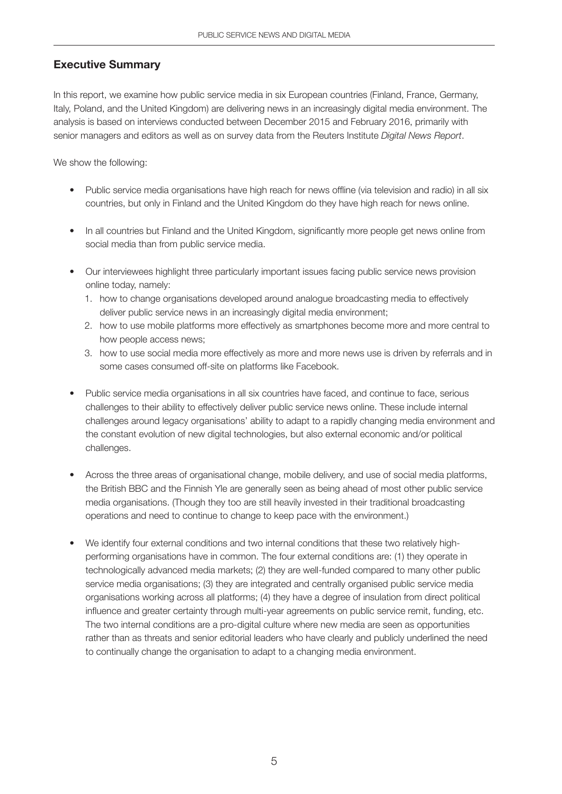#### **Executive Summary**

In this report, we examine how public service media in six European countries (Finland, France, Germany, Italy, Poland, and the United Kingdom) are delivering news in an increasingly digital media environment. The analysis is based on interviews conducted between December 2015 and February 2016, primarily with senior managers and editors as well as on survey data from the Reuters Institute Digital News Report.

We show the following:

- Public service media organisations have high reach for news offline (via television and radio) in all six countries, but only in Finland and the United Kingdom do they have high reach for news online.
- In all countries but Finland and the United Kingdom, significantly more people get news online from social media than from public service media.
- Our interviewees highlight three particularly important issues facing public service news provision online today, namely:
	- 1. how to change organisations developed around analogue broadcasting media to effectively deliver public service news in an increasingly digital media environment;
	- 2. how to use mobile platforms more effectively as smartphones become more and more central to how people access news;
	- 3. how to use social media more effectively as more and more news use is driven by referrals and in some cases consumed off-site on platforms like Facebook.
- Public service media organisations in all six countries have faced, and continue to face, serious challenges to their ability to effectively deliver public service news online. these include internal challenges around legacy organisations' ability to adapt to a rapidly changing media environment and the constant evolution of new digital technologies, but also external economic and/or political challenges.
- Across the three areas of organisational change, mobile delivery, and use of social media platforms, the british bbc and the Finnish Yle are generally seen as being ahead of most other public service media organisations. (Though they too are still heavily invested in their traditional broadcasting operations and need to continue to change to keep pace with the environment.)
- we identify four external conditions and two internal conditions that these two relatively highperforming organisations have in common. the four external conditions are: (1) they operate in technologically advanced media markets; (2) they are well-funded compared to many other public service media organisations; (3) they are integrated and centrally organised public service media organisations working across all platforms; (4) they have a degree of insulation from direct political influence and greater certainty through multi-year agreements on public service remit, funding, etc. the two internal conditions are a pro-digital culture where new media are seen as opportunities rather than as threats and senior editorial leaders who have clearly and publicly underlined the need to continually change the organisation to adapt to a changing media environment.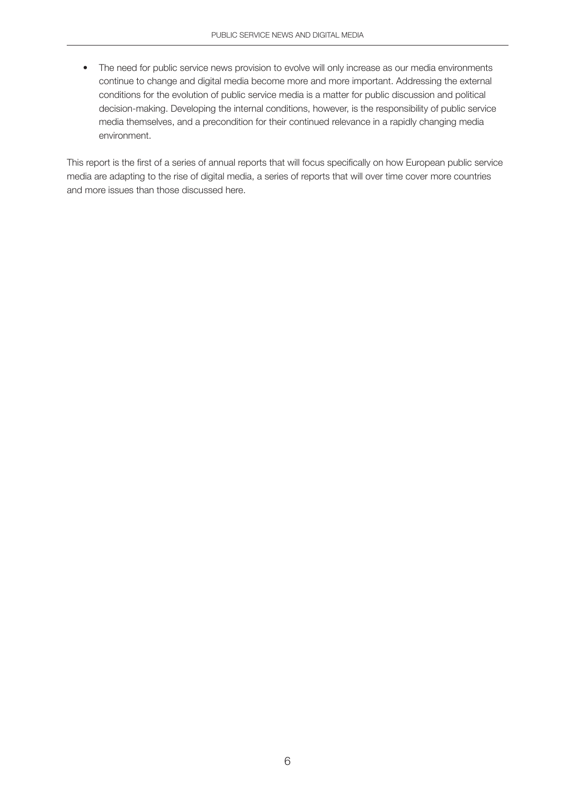• The need for public service news provision to evolve will only increase as our media environments continue to change and digital media become more and more important. Addressing the external conditions for the evolution of public service media is a matter for public discussion and political decision-making. Developing the internal conditions, however, is the responsibility of public service media themselves, and a precondition for their continued relevance in a rapidly changing media environment.

This report is the first of a series of annual reports that will focus specifically on how European public service media are adapting to the rise of digital media, a series of reports that will over time cover more countries and more issues than those discussed here.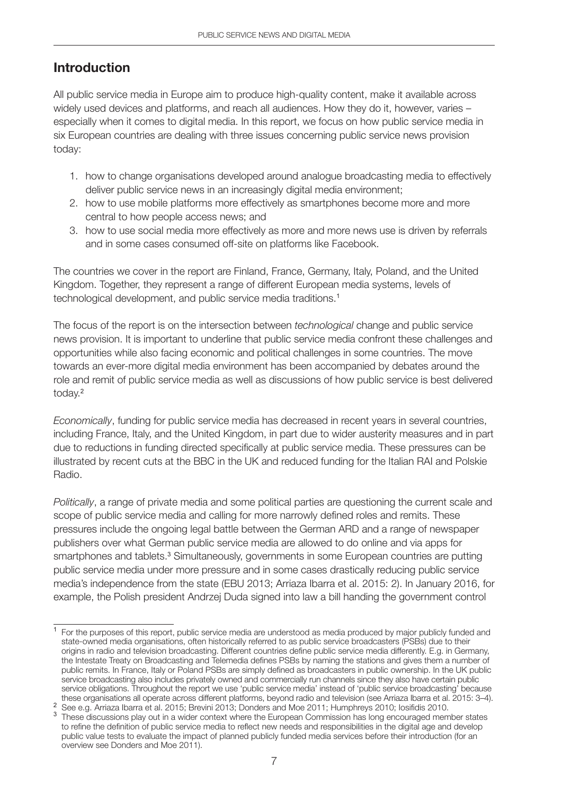# **Introduction**

All public service media in Europe aim to produce high-quality content, make it available across widely used devices and platforms, and reach all audiences. How they do it, however, varies – especially when it comes to digital media. in this report, we focus on how public service media in six European countries are dealing with three issues concerning public service news provision today:

- 1. how to change organisations developed around analogue broadcasting media to effectively deliver public service news in an increasingly digital media environment;
- 2. how to use mobile platforms more effectively as smartphones become more and more central to how people access news; and
- 3. how to use social media more effectively as more and more news use is driven by referrals and in some cases consumed off-site on platforms like Facebook.

The countries we cover in the report are Finland, France, Germany, Italy, Poland, and the United Kingdom. Together, they represent a range of different European media systems, levels of technological development, and public service media traditions. 1

the focus of the report is on the intersection between *technological* change and public service news provision. it is important to underline that public service media confront these challenges and opportunities while also facing economic and political challenges in some countries. the move towards an ever-more digital media environment has been accompanied by debates around the role and remit of public service media as well as discussions of how public service is best delivered today. 2

*Economically*, funding for public service media has decreased in recent years in several countries, including France, Italy, and the United Kingdom, in part due to wider austerity measures and in part due to reductions in funding directed specifically at public service media. these pressures can be illustrated by recent cuts at the BBC in the UK and reduced funding for the Italian RAI and Polskie Radio.

*Politically*, a range of private media and some political parties are questioning the current scale and scope of public service media and calling for more narrowly defined roles and remits. These pressures include the ongoing legal battle between the German ARD and a range of newspaper publishers over what german public service media are allowed to do online and via apps for smartphones and tablets.<sup>3</sup> Simultaneously, governments in some European countries are putting public service media under more pressure and in some cases drastically reducing public service media's independence from the state (EBU 2013; Arriaza Ibarra et al. 2015; 2). In January 2016, for example, the Polish president Andrzej Duda signed into law a bill handing the government control

 $1$  For the purposes of this report, public service media are understood as media produced by major publicly funded and state-owned media organisations, often historically referred to as public service broadcasters (PSbs) due to their origins in radio and television broadcasting. Different countries define public service media differently. E.g. in Germany, the Intestate Treaty on Broadcasting and Telemedia defines PSBs by naming the stations and gives them a number of public remits. In France, Italy or Poland PSBs are simply defined as broadcasters in public ownership. In the UK public service broadcasting also includes privately owned and commercially run channels since they also have certain public service obligations. Throughout the report we use 'public service media' instead of 'public service broadcasting' because

these organisations all operate across different platforms, beyond radio and television (see Arriaza Ibarra et al. 2015: 3–4).<br>
<sup>2</sup> See e.g. Arriaza Ibarra et al. 2015; Brevini 2013; Donders and Moe 2011; Humphreys 2010; l to refine the definition of public service media to reflect new needs and responsibilities in the digital age and develop public value tests to evaluate the impact of planned publicly funded media services before their introduction (for an overview see Donders and Moe 2011).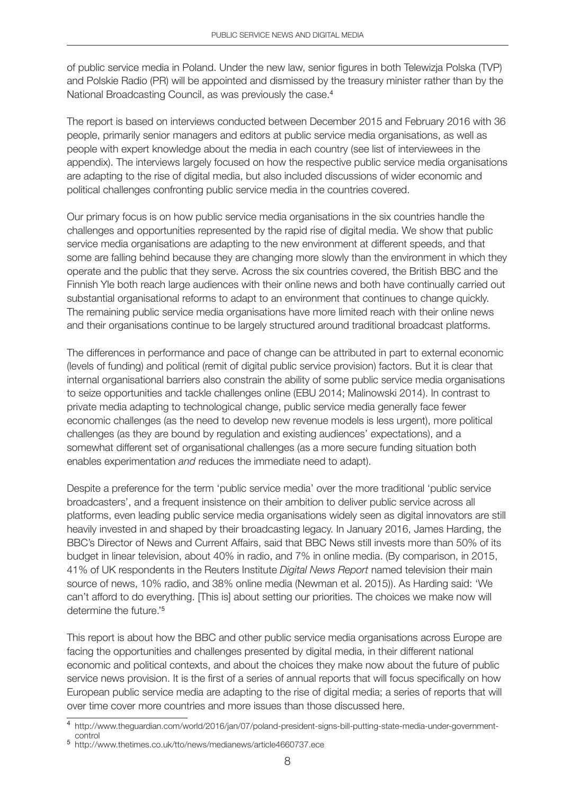of public service media in Poland. under the new law, senior figures in both telewizja Polska (tvP) and Polskie Radio (PR) will be appointed and dismissed by the treasury minister rather than by the National Broadcasting Council, as was previously the case.<sup>4</sup>

the report is based on interviews conducted between december 2015 and February 2016 with 36 people, primarily senior managers and editors at public service media organisations, as well as people with expert knowledge about the media in each country (see list of interviewees in the appendix). The interviews largely focused on how the respective public service media organisations are adapting to the rise of digital media, but also included discussions of wider economic and political challenges confronting public service media in the countries covered.

Our primary focus is on how public service media organisations in the six countries handle the challenges and opportunities represented by the rapid rise of digital media. we show that public service media organisations are adapting to the new environment at different speeds, and that some are falling behind because they are changing more slowly than the environment in which they operate and the public that they serve. Across the six countries covered, the British BBC and the Finnish Yle both reach large audiences with their online news and both have continually carried out substantial organisational reforms to adapt to an environment that continues to change quickly. The remaining public service media organisations have more limited reach with their online news and their organisations continue to be largely structured around traditional broadcast platforms.

the differences in performance and pace of change can be attributed in part to external economic (levels of funding) and political (remit of digital public service provision) factors. But it is clear that internal organisational barriers also constrain the ability of some public service media organisations to seize opportunities and tackle challenges online (EBU 2014; Malinowski 2014). In contrast to private media adapting to technological change, public service media generally face fewer economic challenges (as the need to develop new revenue models is less urgent), more political challenges (as they are bound by regulation and existing audiences' expectations), and a somewhat different set of organisational challenges (as a more secure funding situation both enables experimentation *and* reduces the immediate need to adapt).

Despite a preference for the term 'public service media' over the more traditional 'public service broadcasters', and a frequent insistence on their ambition to deliver public service across all platforms, even leading public service media organisations widely seen as digital innovators are still heavily invested in and shaped by their broadcasting legacy. in January 2016, James Harding, the BBC's Director of News and Current Affairs, said that BBC News still invests more than 50% of its budget in linear television, about 40% in radio, and 7% in online media. (By comparison, in 2015, 41% of UK respondents in the Reuters Institute *Digital News Report* named television their main source of news, 10% radio, and 38% online media (Newman et al. 2015)). As Harding said: 'We can't afford to do everything. [This is] about setting our priorities. The choices we make now will determine the future.'<sup>5</sup>

This report is about how the BBC and other public service media organisations across Europe are facing the opportunities and challenges presented by digital media, in their different national economic and political contexts, and about the choices they make now about the future of public service news provision. it is the first of a series of annual reports that will focus specifically on how European public service media are adapting to the rise of digital media; a series of reports that will over time cover more countries and more issues than those discussed here.

<sup>4</sup> http://www.theguardian.com/world/2016/jan/07/poland-president-signs-bill-putting-state-media-under-governmentcontrol

<sup>5</sup> http://www.thetimes.co.uk/tto/news/medianews/article4660737.ece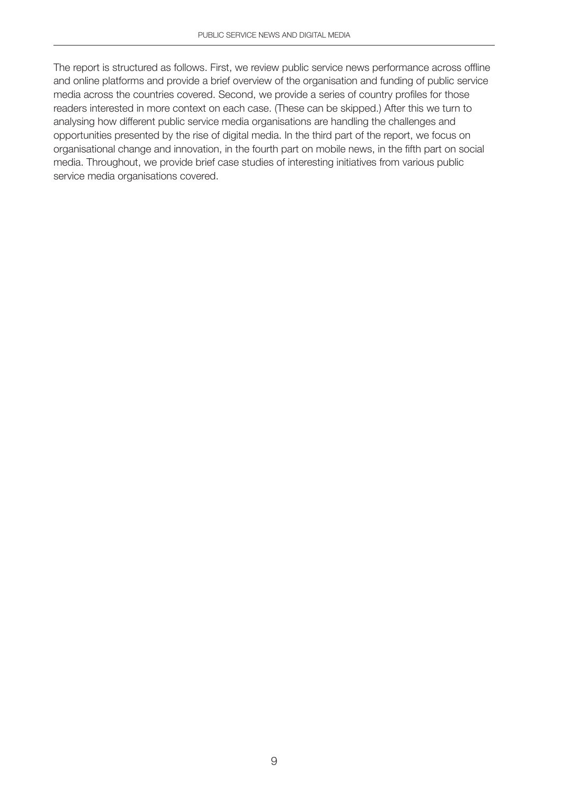The report is structured as follows. First, we review public service news performance across offline and online platforms and provide a brief overview of the organisation and funding of public service media across the countries covered. Second, we provide a series of country profiles for those readers interested in more context on each case. (These can be skipped.) After this we turn to analysing how different public service media organisations are handling the challenges and opportunities presented by the rise of digital media. in the third part of the report, we focus on organisational change and innovation, in the fourth part on mobile news, in the fifth part on social media. Throughout, we provide brief case studies of interesting initiatives from various public service media organisations covered.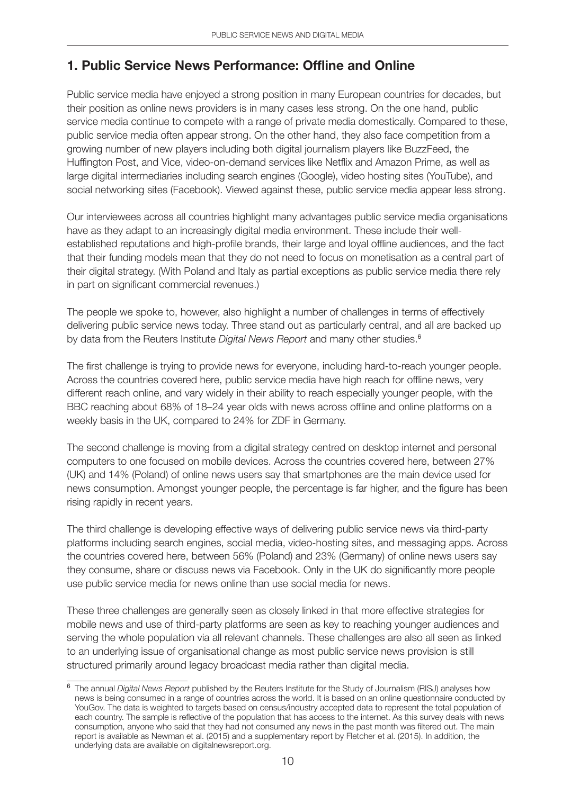# **1. Public Service News Performance: Offline and Online**

Public service media have enjoyed a strong position in many European countries for decades, but their position as online news providers is in many cases less strong. On the one hand, public service media continue to compete with a range of private media domestically. compared to these, public service media often appear strong. On the other hand, they also face competition from a growing number of new players including both digital journalism players like buzzFeed, the Huffington Post, and Vice, video-on-demand services like Netflix and Amazon Prime, as well as large digital intermediaries including search engines (google), video hosting sites (Youtube), and social networking sites (Facebook). viewed against these, public service media appear less strong.

Our interviewees across all countries highlight many advantages public service media organisations have as they adapt to an increasingly digital media environment. These include their wellestablished reputations and high-profile brands, their large and loyal offline audiences, and the fact that their funding models mean that they do not need to focus on monetisation as a central part of their digital strategy. (with Poland and italy as partial exceptions as public service media there rely in part on significant commercial revenues.)

The people we spoke to, however, also highlight a number of challenges in terms of effectively delivering public service news today. Three stand out as particularly central, and all are backed up by data from the Reuters Institute Digital News Report and many other studies.<sup>6</sup>

The first challenge is trying to provide news for everyone, including hard-to-reach younger people. Across the countries covered here, public service media have high reach for offline news, very different reach online, and vary widely in their ability to reach especially younger people, with the bbc reaching about 68% of 18–24 year olds with news across offline and online platforms on a weekly basis in the UK, compared to 24% for ZDF in Germany.

the second challenge is moving from a digital strategy centred on desktop internet and personal computers to one focused on mobile devices. across the countries covered here, between 27% (uK) and 14% (Poland) of online news users say that smartphones are the main device used for news consumption. Amongst younger people, the percentage is far higher, and the figure has been rising rapidly in recent years.

The third challenge is developing effective ways of delivering public service news via third-party platforms including search engines, social media, video-hosting sites, and messaging apps. Across the countries covered here, between 56% (Poland) and 23% (germany) of online news users say they consume, share or discuss news via Facebook. Only in the UK do significantly more people use public service media for news online than use social media for news.

these three challenges are generally seen as closely linked in that more effective strategies for mobile news and use of third-party platforms are seen as key to reaching younger audiences and serving the whole population via all relevant channels. These challenges are also all seen as linked to an underlying issue of organisational change as most public service news provision is still structured primarily around legacy broadcast media rather than digital media.

<sup>&</sup>lt;sup>6</sup> The annual *Digital News Report* published by the Reuters Institute for the Study of Journalism (RISJ) analyses how news is being consumed in a range of countries across the world. it is based on an online questionnaire conducted by Yougov. the data is weighted to targets based on census/industry accepted data to represent the total population of each country. The sample is reflective of the population that has access to the internet. As this survey deals with news consumption, anyone who said that they had not consumed any news in the past month was filtered out. the main report is available as Newman et al. (2015) and a supplementary report by Fletcher et al. (2015). in addition, the underlying data are available on digitalnewsreport.org.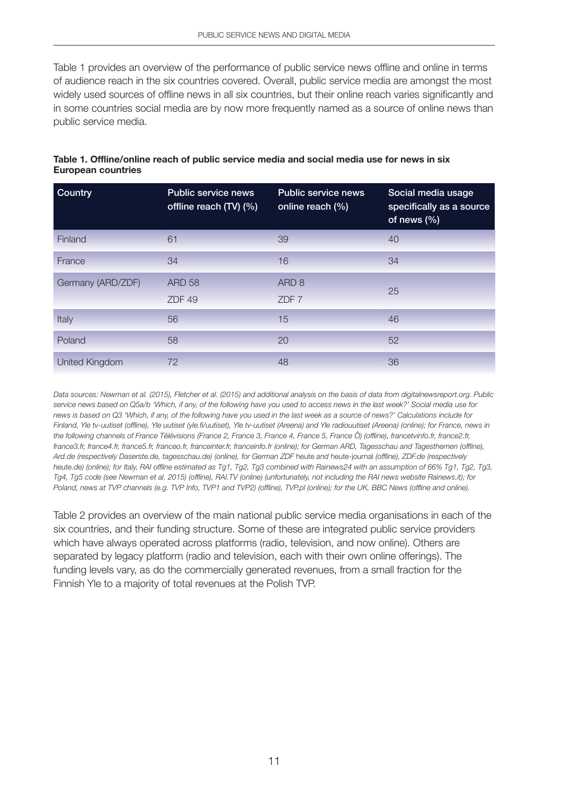Table 1 provides an overview of the performance of public service news offline and online in terms of audience reach in the six countries covered. Overall, public service media are amongst the most widely used sources of offline news in all six countries, but their online reach varies significantly and in some countries social media are by now more frequently named as a source of online news than public service media.

| Country               | <b>Public service news</b><br>offline reach (TV) (%) | <b>Public service news</b><br>online reach (%) | Social media usage<br>specifically as a source<br>of news $(\%)$ |  |
|-----------------------|------------------------------------------------------|------------------------------------------------|------------------------------------------------------------------|--|
| Finland               | 61                                                   | 39                                             | 40                                                               |  |
| France                | 34                                                   | 16                                             | 34                                                               |  |
| Germany (ARD/ZDF)     | <b>ARD 58</b>                                        | ARD <sub>8</sub>                               | 25                                                               |  |
|                       | ZDF 49                                               | ZDF 7                                          |                                                                  |  |
| Italy                 | 56                                                   | 15                                             | 46                                                               |  |
| Poland                | 58                                                   | 20                                             | 52                                                               |  |
| <b>United Kingdom</b> | 72                                                   | 48                                             | 36                                                               |  |

| Table 1. Offline/online reach of public service media and social media use for news in six |  |
|--------------------------------------------------------------------------------------------|--|
| <b>European countries</b>                                                                  |  |

Data sources: Newman et al. (2015), Fletcher et al. (2015) and additional analysis on the basis of data from digitalnewsreport.org. Public service news based on Q5a/b 'Which, if any, of the following have you used to access news in the last week?' Social media use for news is based on Q3 'Which, if any, of the following have you used in the last week as a source of news?' Calculations include for Finland, Yle tv-uutiset (offline), Yle uutiset (yle.fi/uutiset), Yle tv-uutiset (Areena) and Yle radiouutiset (Areena) (online); for France, news in the following channels of France Télévisions (France 2, France 3, France 4, France 5, France Ô) (offline), francetvinfo.fr, france2.fr, france3.fr, france4.fr, france5.fr, franceo.fr, franceinter.fr, franceinfo.fr (online); for German ARD, Tagesschau and Tagesthemen (offline), *Ard.de (respectively Daserste.de, tagesschau.de) (online), for German ZDF* heute *and* heute-journal *(offline), ZDF.de (respectively* heute.de) (online); for Italy, RAI offline estimated as Tg1, Tg2, Tg3 combined with Rainews24 with an assumption of 66% Tg1, Tg2, Tg3, Tg4, Tg5 code (see Newman et al. 2015) (offline), RAI.TV (online) (unfortunately, not including the RAI news website Rainews.it); for Poland, news at TVP channels (e.g. TVP Info, TVP1 and TVP2) (offline), TVP.pl (online); for the UK, BBC News (offline and online).

Table 2 provides an overview of the main national public service media organisations in each of the six countries, and their funding structure. Some of these are integrated public service providers which have always operated across platforms (radio, television, and now online). Others are separated by legacy platform (radio and television, each with their own online offerings). The funding levels vary, as do the commercially generated revenues, from a small fraction for the Finnish Yle to a majority of total revenues at the Polish TVP.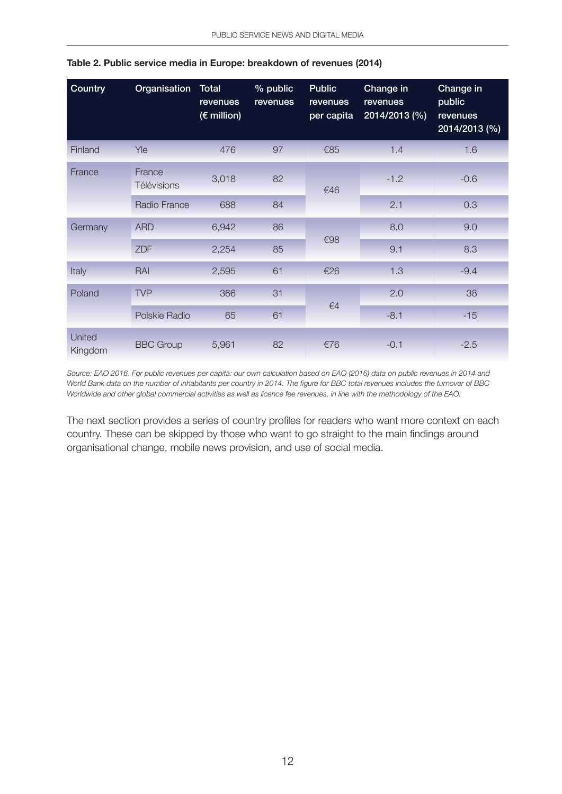| Country                  | Organisation                 | <b>Total</b><br>revenues<br>$(E \text{ million})$ | % public<br>revenues | <b>Public</b><br>revenues<br>per capita | Change in<br>revenues<br>2014/2013 (%) | Change in<br>public<br>revenues<br>2014/2013 (%) |
|--------------------------|------------------------------|---------------------------------------------------|----------------------|-----------------------------------------|----------------------------------------|--------------------------------------------------|
| Finland                  | Yle                          | 476                                               | 97                   | €85                                     | 1.4                                    | 1.6                                              |
| France                   | France<br><b>Télévisions</b> | 3,018                                             | 82                   | €46                                     | $-1.2$                                 | $-0.6$                                           |
|                          | Radio France                 | 688                                               | 84                   |                                         | 2.1                                    | 0.3                                              |
| Germany                  | <b>ARD</b>                   | 6,942                                             | 86                   | €98                                     | 8.0                                    | 9.0                                              |
|                          | <b>ZDF</b>                   | 2,254                                             | 85                   |                                         | 9.1                                    | 8.3                                              |
| Italy                    | RAI                          | 2,595                                             | 61                   | €26                                     | 1.3                                    | $-9.4$                                           |
| Poland                   | <b>TVP</b>                   | 366                                               | 31                   | €4                                      | 2.0                                    | 38                                               |
|                          | Polskie Radio                | 65                                                | 61                   |                                         | $-8.1$                                 | $-15$                                            |
| <b>United</b><br>Kingdom | <b>BBC Group</b>             | 5,961                                             | 82                   | €76                                     | $-0.1$                                 | $-2.5$                                           |

#### **Table 2. Public service media in Europe: breakdown of revenues (2014)**

Source: EAO 2016. For public revenues per capita: our own calculation based on EAO (2016) data on public revenues in 2014 and World Bank data on the number of inhabitants per country in 2014. The figure for BBC total revenues includes the turnover of BBC Worldwide and other global commercial activities as well as licence fee revenues, in line with the methodology of the EAO.

The next section provides a series of country profiles for readers who want more context on each country. These can be skipped by those who want to go straight to the main findings around organisational change, mobile news provision, and use of social media.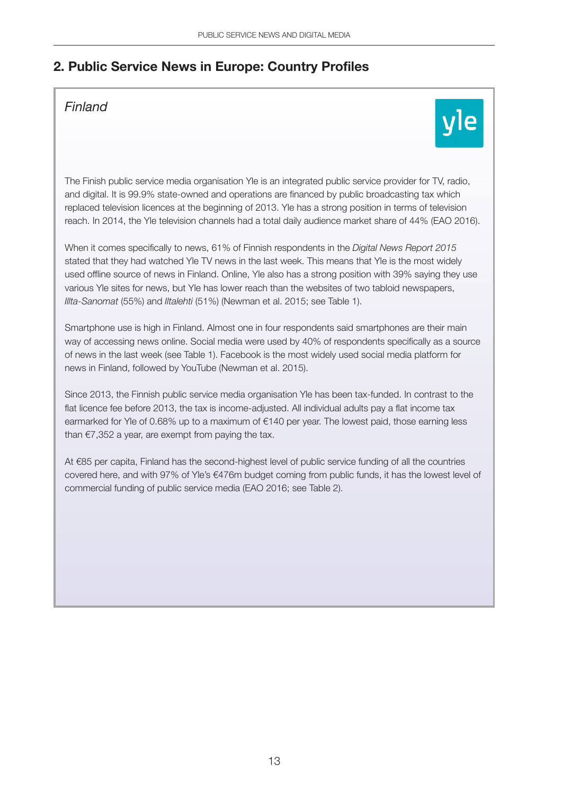# **2. Public Service News in Europe: Country Profiles**

# *Finland*



The Finish public service media organisation Yle is an integrated public service provider for TV, radio, and digital. it is 99.9% state-owned and operations are financed by public broadcasting tax which replaced television licences at the beginning of 2013. Yle has a strong position in terms of television reach. In 2014, the Yle television channels had a total daily audience market share of 44% (EAO 2016).

when it comes specifically to news, 61% of Finnish respondents in the *Digital News Report 2015* stated that they had watched Yle TV news in the last week. This means that Yle is the most widely used offline source of news in Finland. Online, Yle also has a strong position with 39% saying they use various Yle sites for news, but Yle has lower reach than the websites of two tabloid newspapers, *Illta-Sanomat* (55%) and *Iltalehti* (51%) (Newman et al. 2015; see Table 1).

Smartphone use is high in Finland. Almost one in four respondents said smartphones are their main way of accessing news online. Social media were used by 40% of respondents specifically as a source of news in the last week (see table 1). Facebook is the most widely used social media platform for news in Finland, followed by YouTube (Newman et al. 2015).

Since 2013, the Finnish public service media organisation Yle has been tax-funded. in contrast to the flat licence fee before 2013, the tax is income-adjusted. all individual adults pay a flat income tax earmarked for Yle of 0.68% up to a maximum of €140 per year. The lowest paid, those earning less than €7,352 a year, are exempt from paying the tax.

at €85 per capita, Finland has the second-highest level of public service funding of all the countries covered here, and with 97% of Yle's €476m budget coming from public funds, it has the lowest level of commercial funding of public service media (EAO 2016; see Table 2).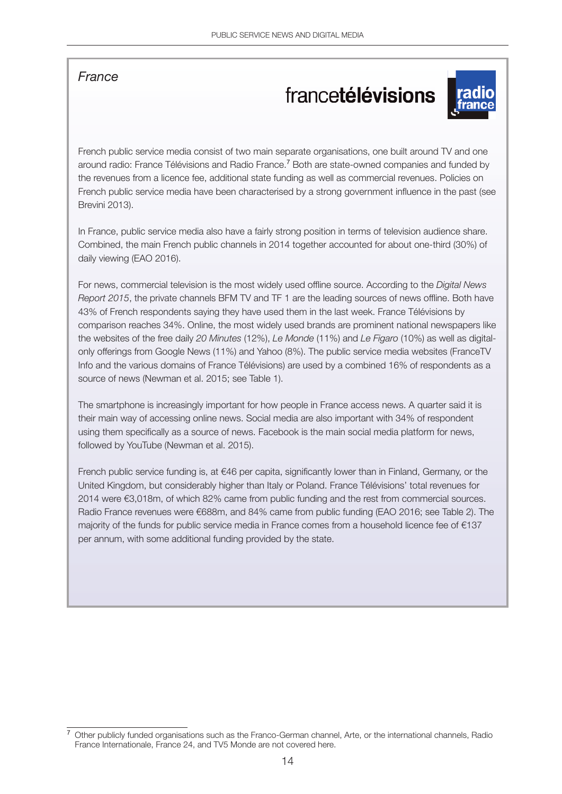#### *France*

# francetélévisions



French public service media consist of two main separate organisations, one built around TV and one around radio: France Télévisions and Radio France.<sup>7</sup> Both are state-owned companies and funded by the revenues from a licence fee, additional state funding as well as commercial revenues. Policies on French public service media have been characterised by a strong government influence in the past (see Brevini 2013).

in France, public service media also have a fairly strong position in terms of television audience share. combined, the main French public channels in 2014 together accounted for about one-third (30%) of daily viewing (EAO 2016).

For news, commercial television is the most widely used offline source. according to the *Digital News Report* 2015, the private channels BFM TV and TF 1 are the leading sources of news offline. Both have 43% of French respondents saying they have used them in the last week. France Télévisions by comparison reaches 34%. Online, the most widely used brands are prominent national newspapers like the websites of the free daily *20 Minutes* (12%), *Le Monde* (11%) and *Le Figaro* (10%) as well as digitalonly offerings from Google News (11%) and Yahoo (8%). The public service media websites (FranceTV Info and the various domains of France Télévisions) are used by a combined 16% of respondents as a source of news (Newman et al. 2015; see Table 1).

The smartphone is increasingly important for how people in France access news. A quarter said it is their main way of accessing online news. Social media are also important with 34% of respondent using them specifically as a source of news. Facebook is the main social media platform for news, followed by YouTube (Newman et al. 2015).

French public service funding is, at €46 per capita, significantly lower than in Finland, Germany, or the United Kingdom, but considerably higher than Italy or Poland. France Télévisions' total revenues for 2014 were €3,018m, of which 82% came from public funding and the rest from commercial sources. Radio France revenues were €688m, and 84% came from public funding (EAO 2016; see Table 2). The majority of the funds for public service media in France comes from a household licence fee of €137 per annum, with some additional funding provided by the state.

Other publicly funded organisations such as the Franco-German channel, Arte, or the international channels, Radio France Internationale, France 24, and TV5 Monde are not covered here.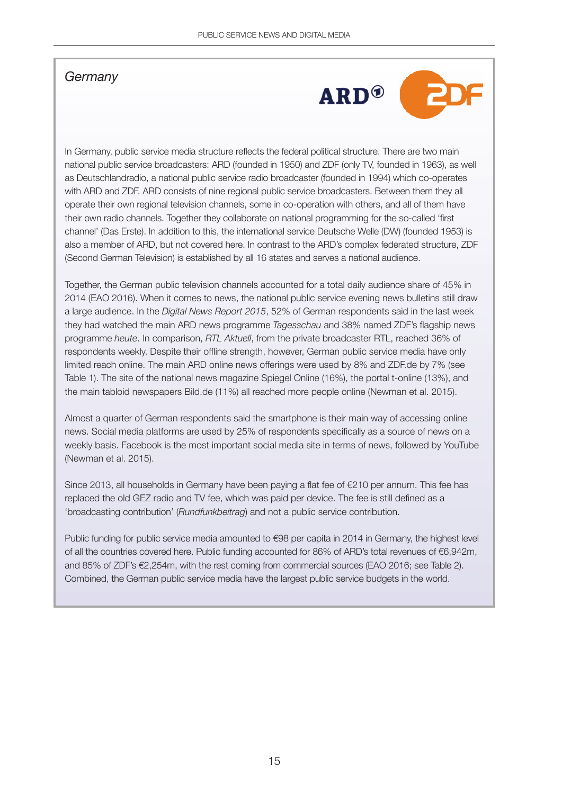#### *Germany*





In Germany, public service media structure reflects the federal political structure. There are two main national public service broadcasters: ARD (founded in 1950) and ZDF (only TV, founded in 1963), as well as deutschlandradio, a national public service radio broadcaster (founded in 1994) which co-operates with ARD and ZDF. ARD consists of nine regional public service broadcasters. Between them they all operate their own regional television channels, some in co-operation with others, and all of them have their own radio channels. Together they collaborate on national programming for the so-called 'first channel' (Das Erste). In addition to this, the international service Deutsche Welle (DW) (founded 1953) is also a member of ARD, but not covered here. In contrast to the ARD's complex federated structure, ZDF (Second german television) is established by all 16 states and serves a national audience.

Together, the German public television channels accounted for a total daily audience share of 45% in 2014 (eaO 2016). when it comes to news, the national public service evening news bulletins still draw a large audience. in the *Digital News Report 2015*, 52% of german respondents said in the last week they had watched the main ARD news programme *Tagesschau* and 38% named ZDF's flagship news programme *heute*. In comparison, *RTL Aktuell*, from the private broadcaster RTL, reached 36% of respondents weekly. Despite their offline strength, however, German public service media have only limited reach online. The main ARD online news offerings were used by 8% and ZDF.de by 7% (see Table 1). The site of the national news magazine Spiegel Online (16%), the portal t-online (13%), and the main tabloid newspapers bild.de (11%) all reached more people online (Newman et al. 2015).

Almost a quarter of German respondents said the smartphone is their main way of accessing online news. Social media platforms are used by 25% of respondents specifically as a source of news on a weekly basis. Facebook is the most important social media site in terms of news, followed by Youtube (Newman et al. 2015).

Since 2013, all households in Germany have been paying a flat fee of €210 per annum. This fee has replaced the old GEZ radio and TV fee, which was paid per device. The fee is still defined as a 'broadcasting contribution' (*Rundfunkbeitrag*) and not a public service contribution.

Public funding for public service media amounted to €98 per capita in 2014 in Germany, the highest level of all the countries covered here. Public funding accounted for 86% of ARD's total revenues of €6,942m, and 85% of ZDF's €2,254m, with the rest coming from commercial sources (EAO 2016; see Table 2). combined, the german public service media have the largest public service budgets in the world.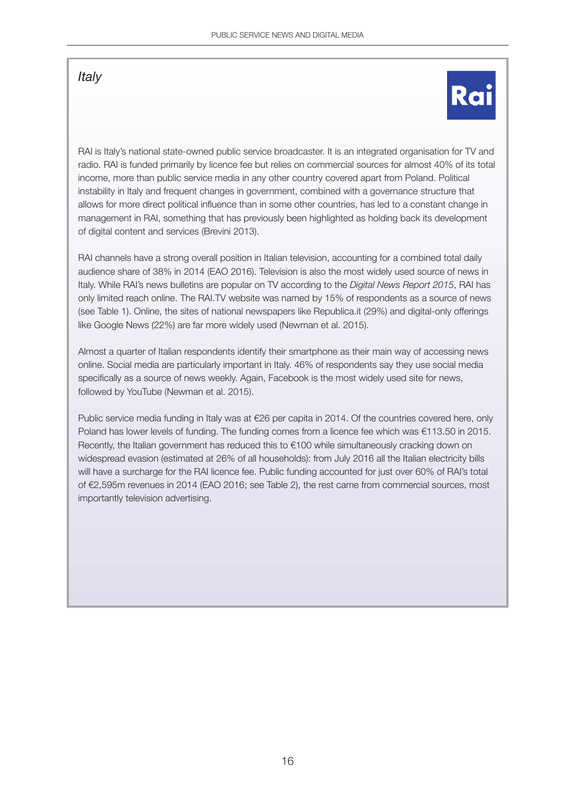*Italy*



RAI is Italy's national state-owned public service broadcaster. It is an integrated organisation for TV and radio. RAI is funded primarily by licence fee but relies on commercial sources for almost 40% of its total income, more than public service media in any other country covered apart from Poland. Political instability in italy and frequent changes in government, combined with a governance structure that allows for more direct political influence than in some other countries, has led to a constant change in management in RAI, something that has previously been highlighted as holding back its development of digital content and services (Brevini 2013).

RAI channels have a strong overall position in Italian television, accounting for a combined total daily audience share of 38% in 2014 (EAO 2016). Television is also the most widely used source of news in Italy. While RAI's news bulletins are popular on TV according to the *Digital News Report 2015*, RAI has only limited reach online. The RAI.TV website was named by 15% of respondents as a source of news (see Table 1). Online, the sites of national newspapers like Republica.it (29%) and digital-only offerings like google News (22%) are far more widely used (Newman et al. 2015).

almost a quarter of italian respondents identify their smartphone as their main way of accessing news online. Social media are particularly important in italy. 46% of respondents say they use social media specifically as a source of news weekly. Again, Facebook is the most widely used site for news, followed by YouTube (Newman et al. 2015).

Public service media funding in Italy was at €26 per capita in 2014. Of the countries covered here, only Poland has lower levels of funding. The funding comes from a licence fee which was €113.50 in 2015. Recently, the Italian government has reduced this to €100 while simultaneously cracking down on widespread evasion (estimated at 26% of all households): from July 2016 all the italian electricity bills will have a surcharge for the RAI licence fee. Public funding accounted for just over 60% of RAI's total of €2,595m revenues in 2014 (EAO 2016; see Table 2), the rest came from commercial sources, most importantly television advertising.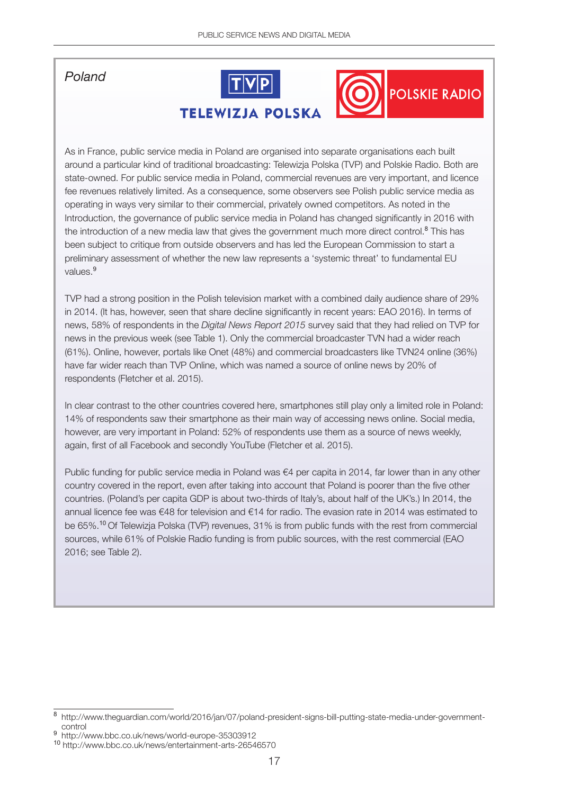#### *Poland*



**TELEWIZJA POLSKA** 



as in France, public service media in Poland are organised into separate organisations each built around a particular kind of traditional broadcasting: Telewizja Polska (TVP) and Polskie Radio. Both are state-owned. For public service media in Poland, commercial revenues are very important, and licence fee revenues relatively limited. as a consequence, some observers see Polish public service media as operating in ways very similar to their commercial, privately owned competitors. as noted in the introduction, the governance of public service media in Poland has changed significantly in 2016 with the introduction of a new media law that gives the government much more direct control.<sup>8</sup> This has been subject to critique from outside observers and has led the European Commission to start a preliminary assessment of whether the new law represents a 'systemic threat' to fundamental EU values.<sup>9</sup>

TVP had a strong position in the Polish television market with a combined daily audience share of 29% in 2014. (It has, however, seen that share decline significantly in recent years: EAO 2016). In terms of news, 58% of respondents in the *Digital News Report 2015* survey said that they had relied on tvP for news in the previous week (see table 1). Only the commercial broadcaster tvN had a wider reach (61%). Online, however, portals like Onet (48%) and commercial broadcasters like tvN24 online (36%) have far wider reach than TVP Online, which was named a source of online news by 20% of respondents (Fletcher et al. 2015).

in clear contrast to the other countries covered here, smartphones still play only a limited role in Poland: 14% of respondents saw their smartphone as their main way of accessing news online. Social media, however, are very important in Poland: 52% of respondents use them as a source of news weekly, again, first of all Facebook and secondly YouTube (Fletcher et al. 2015).

Public funding for public service media in Poland was €4 per capita in 2014, far lower than in any other country covered in the report, even after taking into account that Poland is poorer than the five other countries. (Poland's per capita GDP is about two-thirds of Italy's, about half of the UK's.) In 2014, the annual licence fee was €48 for television and €14 for radio. The evasion rate in 2014 was estimated to be 65%.<sup>10</sup> Of Telewizja Polska (TVP) revenues, 31% is from public funds with the rest from commercial sources, while 61% of Polskie Radio funding is from public sources, with the rest commercial (EAO 2016; see Table 2).

<sup>8</sup> http://www.theguardian.com/world/2016/jan/07/poland-president-signs-bill-putting-state-media-under-governmentcontrol

<sup>9</sup> http://www.bbc.co.uk/news/world-europe-35303912

<sup>10</sup> http://www.bbc.co.uk/news/entertainment-arts-26546570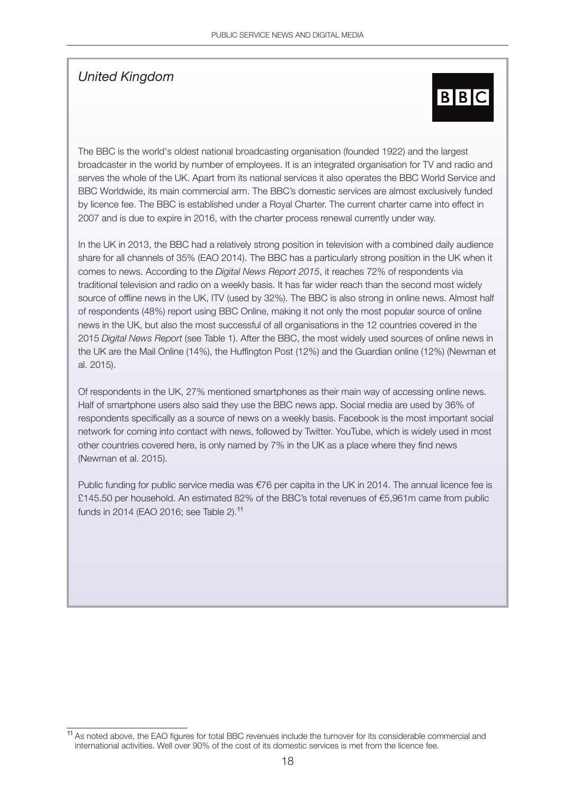#### *United Kingdom*

# $B|B|C$

The BBC is the world's oldest national broadcasting organisation (founded 1922) and the largest broadcaster in the world by number of employees. it is an integrated organisation for tv and radio and serves the whole of the UK. Apart from its national services it also operates the BBC World Service and BBC Worldwide, its main commercial arm. The BBC's domestic services are almost exclusively funded by licence fee. The BBC is established under a Royal Charter. The current charter came into effect in 2007 and is due to expire in 2016, with the charter process renewal currently under way.

In the UK in 2013, the BBC had a relatively strong position in television with a combined daily audience share for all channels of 35% (EAO 2014). The BBC has a particularly strong position in the UK when it comes to news. according to the *Digital News Report 2015*, it reaches 72% of respondents via traditional television and radio on a weekly basis. it has far wider reach than the second most widely source of offline news in the UK, ITV (used by 32%). The BBC is also strong in online news. Almost half of respondents (48%) report using BBC Online, making it not only the most popular source of online news in the UK, but also the most successful of all organisations in the 12 countries covered in the 2015 *Digital News Report* (see table 1). after the bbc, the most widely used sources of online news in the UK are the Mail Online (14%), the Huffington Post (12%) and the Guardian online (12%) (Newman et al. 2015).

Of respondents in the UK, 27% mentioned smartphones as their main way of accessing online news. Half of smartphone users also said they use the BBC news app. Social media are used by 36% of respondents specifically as a source of news on a weekly basis. Facebook is the most important social network for coming into contact with news, followed by twitter. Youtube, which is widely used in most other countries covered here, is only named by 7% in the UK as a place where they find news (Newman et al. 2015).

Public funding for public service media was  $\epsilon$ 76 per capita in the UK in 2014. The annual licence fee is £145.50 per household. An estimated 82% of the BBC's total revenues of €5,961m came from public funds in 2014 (EAO 2016; see Table 2).<sup>11</sup>

<sup>&</sup>lt;sup>11</sup> As noted above, the EAO figures for total BBC revenues include the turnover for its considerable commercial and international activities. well over 90% of the cost of its domestic services is met from the licence fee.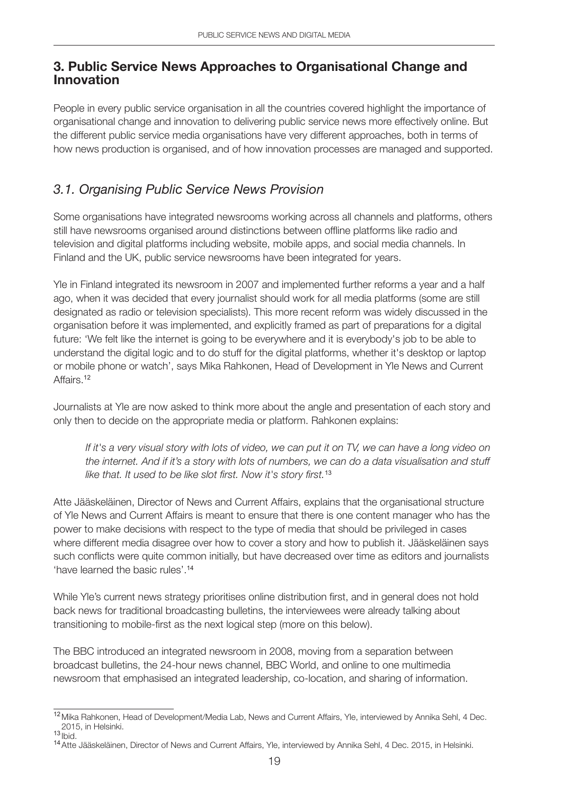## **3. Public Service News Approaches to Organisational Change and Innovation**

People in every public service organisation in all the countries covered highlight the importance of organisational change and innovation to delivering public service news more effectively online. but the different public service media organisations have very different approaches, both in terms of how news production is organised, and of how innovation processes are managed and supported.

# *3.1. Organising Public Service News Provision*

Some organisations have integrated newsrooms working across all channels and platforms, others still have newsrooms organised around distinctions between offline platforms like radio and television and digital platforms including website, mobile apps, and social media channels. in Finland and the UK, public service newsrooms have been integrated for years.

Yle in Finland integrated its newsroom in 2007 and implemented further reforms a year and a half ago, when it was decided that every journalist should work for all media platforms (some are still designated as radio or television specialists). This more recent reform was widely discussed in the organisation before it was implemented, and explicitly framed as part of preparations for a digital future: 'we felt like the internet is going to be everywhere and it is everybody's job to be able to understand the digital logic and to do stuff for the digital platforms, whether it's desktop or laptop or mobile phone or watch', says Mika Rahkonen, Head of Development in Yle News and Current Affairs.<sup>12</sup>

Journalists at Yle are now asked to think more about the angle and presentation of each story and only then to decide on the appropriate media or platform. Rahkonen explains:

If it's a very visual story with lots of video, we can put it on TV, we can have a long video on the internet. And if it's a story with lots of numbers, we can do a data visualisation and stuff *like that. It used to be like slot first. Now it's story first.* 13

Atte Jääskeläinen, Director of News and Current Affairs, explains that the organisational structure of Yle News and current affairs is meant to ensure that there is one content manager who has the power to make decisions with respect to the type of media that should be privileged in cases where different media disagree over how to cover a story and how to publish it. Jääskeläinen says such conflicts were quite common initially, but have decreased over time as editors and journalists 'have learned the basic rules'. 14

while Yle's current news strategy prioritises online distribution first, and in general does not hold back news for traditional broadcasting bulletins, the interviewees were already talking about transitioning to mobile-first as the next logical step (more on this below).

The BBC introduced an integrated newsroom in 2008, moving from a separation between broadcast bulletins, the 24-hour news channel, BBC World, and online to one multimedia newsroom that emphasised an integrated leadership, co-location, and sharing of information.

<sup>&</sup>lt;sup>12</sup> Mika Rahkonen, Head of Development/Media Lab, News and Current Affairs, Yle, interviewed by Annika Sehl, 4 Dec. 2015, in Helsinki.<br><sup>13</sup> ibid.<br><sup>14</sup> Atte Jääskeläinen, Director of News and Current Affairs, Yle, interviewed by Annika Sehl, 4 Dec. 2015, in Helsinki.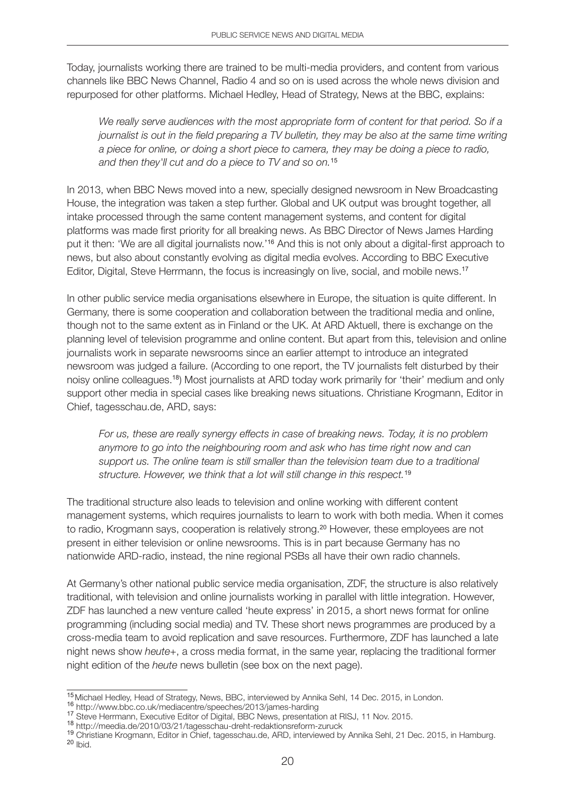Today, journalists working there are trained to be multi-media providers, and content from various channels like BBC News Channel, Radio 4 and so on is used across the whole news division and repurposed for other platforms. Michael Hedley, Head of Strategy, News at the BBC, explains:

*We really serve audiences with the most appropriate form of content for that period. So if a* journalist is out in the field preparing a TV bulletin, they may be also at the same time writing *a piece for online, or doing a short piece to camera, they may be doing a piece to radio, and then they'll cut and do a piece to TV and so on.* 15

In 2013, when BBC News moved into a new, specially designed newsroom in New Broadcasting House, the integration was taken a step further. Global and UK output was brought together, all intake processed through the same content management systems, and content for digital platforms was made first priority for all breaking news. As BBC Director of News James Harding put it then: 'We are all digital journalists now.'<sup>16</sup> And this is not only about a digital-first approach to news, but also about constantly evolving as digital media evolves. According to BBC Executive Editor, Digital, Steve Herrmann, the focus is increasingly on live, social, and mobile news.<sup>17</sup>

In other public service media organisations elsewhere in Europe, the situation is quite different. In germany, there is some cooperation and collaboration between the traditional media and online, though not to the same extent as in Finland or the UK. At ARD Aktuell, there is exchange on the planning level of television programme and online content. but apart from this, television and online journalists work in separate newsrooms since an earlier attempt to introduce an integrated newsroom was judged a failure. (According to one report, the TV journalists felt disturbed by their noisy online colleagues.<sup>18</sup>) Most journalists at ARD today work primarily for 'their' medium and only support other media in special cases like breaking news situations. Christiane Krogmann, Editor in Chief, tagesschau.de, ARD, says:

*For us, these are really synergy effects in case of breaking news. Today, it is no problem anymore to go into the neighbouring room and ask who has time right now and can support us. The online team is still smaller than the television team due to a traditional structure. However, we think that a lot will still change in this respect.* 19

the traditional structure also leads to television and online working with different content management systems, which requires journalists to learn to work with both media. when it comes to radio, Krogmann says, cooperation is relatively strong.<sup>20</sup> However, these employees are not present in either television or online newsrooms. this is in part because germany has no nationwide ARD-radio, instead, the nine regional PSBs all have their own radio channels.

At Germany's other national public service media organisation, ZDF, the structure is also relatively traditional, with television and online journalists working in parallel with little integration. However, ZdF has launched a new venture called 'heute express' in 2015, a short news format for online programming (including social media) and TV. These short news programmes are produced by a cross-media team to avoid replication and save resources. Furthermore, ZDF has launched a late night news show *heute+*, a cross media format, in the same year, replacing the traditional former night edition of the *heute* news bulletin (see box on the next page).

<sup>&</sup>lt;sup>15</sup> Michael Hedley, Head of Strategy, News, BBC, interviewed by Annika Sehl, 14 Dec. 2015, in London.<br><sup>16</sup> http://www.bbc.co.uk/mediacentre/speeches/2013/james-harding<br><sup>17</sup> Steve Herrmann, Executive Editor of Digital, BBC

<sup>&</sup>lt;sup>19</sup> Christiane Krogmann, Editor in Chief, tagesschau.de, ARD, interviewed by Annika Sehl, 21 Dec. 2015, in Hamburg.  $^{20}$  Ibid.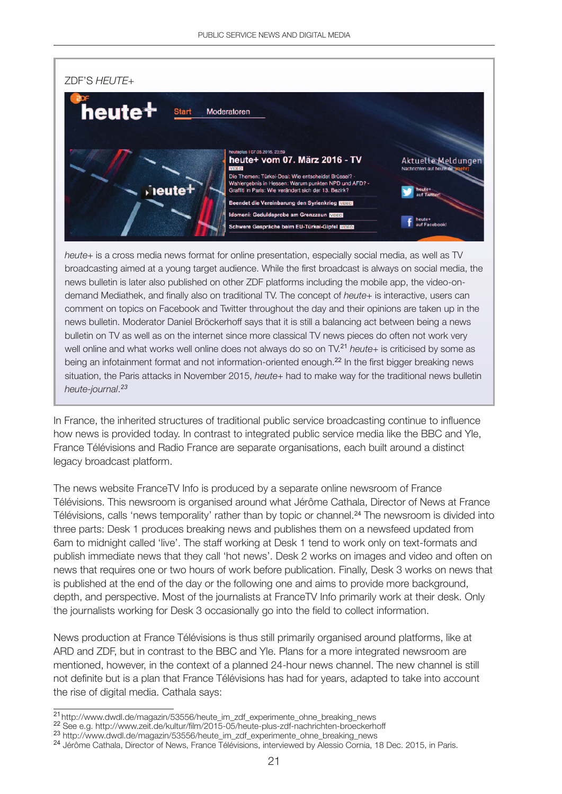

*heute*+ is a cross media news format for online presentation, especially social media, as well as TV broadcasting aimed at a young target audience. while the first broadcast is always on social media, the news bulletin is later also published on other ZdF platforms including the mobile app, the video-ondemand Mediathek, and finally also on traditional TV. The concept of *heute*+ is interactive, users can comment on topics on Facebook and Twitter throughout the day and their opinions are taken up in the news bulletin. Moderator Daniel Bröckerhoff says that it is still a balancing act between being a news bulletin on TV as well as on the internet since more classical TV news pieces do often not work very well online and what works well online does not always do so on tv. <sup>21</sup> *heute+* is criticised by some as being an infotainment format and not information-oriented enough.<sup>22</sup> In the first bigger breaking news situation, the Paris attacks in November 2015, *heute+* had to make way for the traditional news bulletin *heute-journal*. *23*

In France, the inherited structures of traditional public service broadcasting continue to influence how news is provided today. In contrast to integrated public service media like the BBC and Yle, France Télévisions and Radio France are separate organisations, each built around a distinct legacy broadcast platform.

The news website FranceTV Info is produced by a separate online newsroom of France Télévisions. This newsroom is organised around what Jérôme Cathala, Director of News at France Télévisions, calls 'news temporality' rather than by topic or channel.<sup>24</sup> The newsroom is divided into three parts: Desk 1 produces breaking news and publishes them on a newsfeed updated from 6am to midnight called 'live'. The staff working at Desk 1 tend to work only on text-formats and publish immediate news that they call 'hot news'. Desk 2 works on images and video and often on news that requires one or two hours of work before publication. Finally, Desk 3 works on news that is published at the end of the day or the following one and aims to provide more background, depth, and perspective. Most of the journalists at FranceTV Info primarily work at their desk. Only the journalists working for Desk 3 occasionally go into the field to collect information.

News production at France Télévisions is thus still primarily organised around platforms, like at ARD and ZDF, but in contrast to the BBC and Yle. Plans for a more integrated newsroom are mentioned, however, in the context of a planned 24-hour news channel. The new channel is still not definite but is a plan that France Télévisions has had for years, adapted to take into account the rise of digital media. Cathala says:

<sup>21</sup> http://www.dwdl.de/magazin/53556/heute\_im\_zdf\_experimente\_ohne\_breaking\_news

<sup>22</sup> See e.g. http://www.zeit.de/kultur/film/2015-05/heute-plus-zdf-nachrichten-broeckerhoff

<sup>23</sup> http://www.dwdl.de/magazin/53556/heute\_im\_zdf\_experimente\_ohne\_breaking\_news

<sup>&</sup>lt;sup>24</sup> Jérôme Cathala, Director of News, France Télévisions, interviewed by Alessio Cornia, 18 Dec. 2015, in Paris.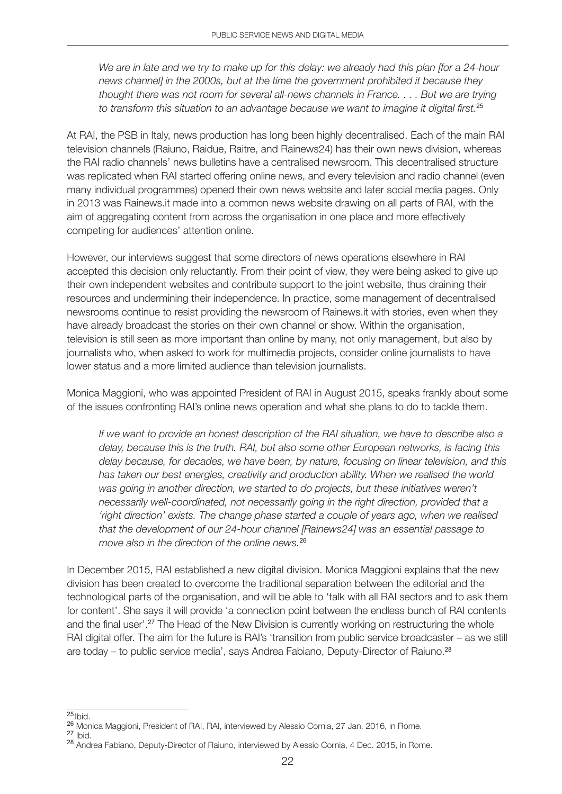We are in late and we try to make up for this delay: we already had this plan [for a 24-hour *news channel] in the 2000s, but at the time the government prohibited it because they thought there was not room for several all-news channels in France. . . . But we are trying to transform this situation to an advantage because we want to imagine it digital first.* 25

At RAI, the PSB in Italy, news production has long been highly decentralised. Each of the main RAI television channels (Raiuno, Raidue, Raitre, and Rainews24) has their own news division, whereas the RAI radio channels' news bulletins have a centralised newsroom. This decentralised structure was replicated when RAI started offering online news, and every television and radio channel (even many individual programmes) opened their own news website and later social media pages. Only in 2013 was Rainews.it made into a common news website drawing on all parts of RAI, with the aim of aggregating content from across the organisation in one place and more effectively competing for audiences' attention online.

However, our interviews suggest that some directors of news operations elsewhere in RAI accepted this decision only reluctantly. From their point of view, they were being asked to give up their own independent websites and contribute support to the joint website, thus draining their resources and undermining their independence. in practice, some management of decentralised newsrooms continue to resist providing the newsroom of Rainews.it with stories, even when they have already broadcast the stories on their own channel or show. within the organisation, television is still seen as more important than online by many, not only management, but also by journalists who, when asked to work for multimedia projects, consider online journalists to have lower status and a more limited audience than television journalists.

Monica Maggioni, who was appointed President of RAI in August 2015, speaks frankly about some of the issues confronting RAI's online news operation and what she plans to do to tackle them.

*If we want to provide an honest description of the RAI situation, we have to describe also a delay, because this is the truth. RAI, but also some other European networks, is facing this delay because, for decades, we have been, by nature, focusing on linear television, and this has taken our best energies, creativity and production ability. When we realised the world was going in another direction, we started to do projects, but these initiatives weren't necessarily well-coordinated, not necessarily going in the right direction, provided that a 'right direction' exists. The change phase started a couple of years ago, when we realised that the development of our 24-hour channel [Rainews24] was an essential passage to move also in the direction of the online news.* 26

In December 2015, RAI established a new digital division. Monica Maggioni explains that the new division has been created to overcome the traditional separation between the editorial and the technological parts of the organisation, and will be able to 'talk with all RAI sectors and to ask them for content'. She says it will provide 'a connection point between the endless bunch of RAI contents and the final user'.<sup>27</sup> The Head of the New Division is currently working on restructuring the whole RAI digital offer. The aim for the future is RAI's 'transition from public service broadcaster – as we still are today – to public service media', says Andrea Fabiano, Deputy-Director of Raiuno.<sup>28</sup>

<sup>&</sup>lt;sup>25</sup> Ibid.<br><sup>26</sup> Monica Maggioni, President of RAI, RAI, interviewed by Alessio Cornia, 27 Jan. 2016, in Rome.<br><sup>27</sup> Ibid.<br><sup>28</sup> Andrea Fabiano, Deputy-Director of Raiuno, interviewed by Alessio Cornia, 4 Dec. 2015, in Rome.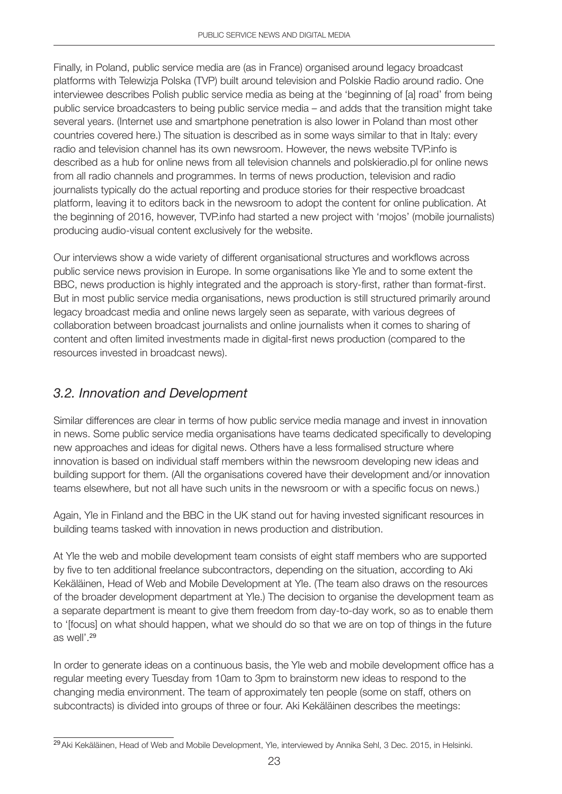Finally, in Poland, public service media are (as in France) organised around legacy broadcast platforms with Telewizja Polska (TVP) built around television and Polskie Radio around radio. One interviewee describes Polish public service media as being at the 'beginning of [a] road' from being public service broadcasters to being public service media – and adds that the transition might take several years. (internet use and smartphone penetration is also lower in Poland than most other countries covered here.) The situation is described as in some ways similar to that in Italy: every radio and television channel has its own newsroom. However, the news website TVP info is described as a hub for online news from all television channels and polskieradio.pl for online news from all radio channels and programmes. in terms of news production, television and radio journalists typically do the actual reporting and produce stories for their respective broadcast platform, leaving it to editors back in the newsroom to adopt the content for online publication. at the beginning of 2016, however, TVP. info had started a new project with 'mojos' (mobile journalists) producing audio-visual content exclusively for the website.

Our interviews show a wide variety of different organisational structures and workflows across public service news provision in Europe. In some organisations like Yle and to some extent the bbc, news production is highly integrated and the approach is story-first, rather than format-first. But in most public service media organisations, news production is still structured primarily around legacy broadcast media and online news largely seen as separate, with various degrees of collaboration between broadcast journalists and online journalists when it comes to sharing of content and often limited investments made in digital-first news production (compared to the resources invested in broadcast news).

# *3.2. Innovation and Development*

Similar differences are clear in terms of how public service media manage and invest in innovation in news. Some public service media organisations have teams dedicated specifically to developing new approaches and ideas for digital news. Others have a less formalised structure where innovation is based on individual staff members within the newsroom developing new ideas and building support for them. (all the organisations covered have their development and/or innovation teams elsewhere, but not all have such units in the newsroom or with a specific focus on news.)

Again, Yle in Finland and the BBC in the UK stand out for having invested significant resources in building teams tasked with innovation in news production and distribution.

at Yle the web and mobile development team consists of eight staff members who are supported by five to ten additional freelance subcontractors, depending on the situation, according to Aki Kekäläinen, Head of Web and Mobile Development at Yle. (The team also draws on the resources of the broader development department at Yle.) The decision to organise the development team as a separate department is meant to give them freedom from day-to-day work, so as to enable them to '[focus] on what should happen, what we should do so that we are on top of things in the future as well'. 29

in order to generate ideas on a continuous basis, the Yle web and mobile development office has a regular meeting every tuesday from 10am to 3pm to brainstorm new ideas to respond to the changing media environment. the team of approximately ten people (some on staff, others on subcontracts) is divided into groups of three or four. Aki Kekäläinen describes the meetings:

<sup>&</sup>lt;sup>29</sup> Aki Kekäläinen, Head of Web and Mobile Development, Yle, interviewed by Annika Sehl, 3 Dec. 2015, in Helsinki.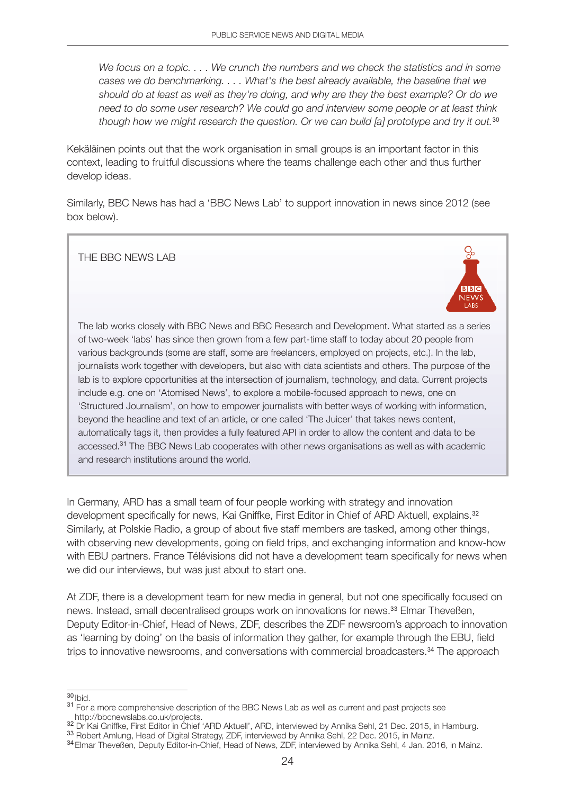We focus on a topic. . . . We crunch the numbers and we check the statistics and in some *cases we do benchmarking. . . . What's the best already available, the baseline that we should do at least as well as they're doing, and why are they the best example? Or do we need to do some user research? We could go and interview some people or at least think though how we might research the question. Or we can build [a] prototype and try it out.* 30

Kekäläinen points out that the work organisation in small groups is an important factor in this context, leading to fruitful discussions where the teams challenge each other and thus further develop ideas.

Similarly, BBC News has had a 'BBC News Lab' to support innovation in news since 2012 (see box below).

THE BBC NEWS LAB



The lab works closely with BBC News and BBC Research and Development. What started as a series of two-week 'labs' has since then grown from a few part-time staff to today about 20 people from various backgrounds (some are staff, some are freelancers, employed on projects, etc.). in the lab, journalists work together with developers, but also with data scientists and others. The purpose of the lab is to explore opportunities at the intersection of journalism, technology, and data. current projects include e.g. one on 'Atomised News', to explore a mobile-focused approach to news, one on 'Structured Journalism', on how to empower journalists with better ways of working with information, beyond the headline and text of an article, or one called 'The Juicer' that takes news content, automatically tags it, then provides a fully featured aPi in order to allow the content and data to be accessed.<sup>31</sup> The BBC News Lab cooperates with other news organisations as well as with academic and research institutions around the world.

In Germany, ARD has a small team of four people working with strategy and innovation development specifically for news, Kai Gniffke, First Editor in Chief of ARD Aktuell, explains.<sup>32</sup> Similarly, at Polskie Radio, a group of about five staff members are tasked, among other things, with observing new developments, going on field trips, and exchanging information and know-how with EBU partners. France Télévisions did not have a development team specifically for news when we did our interviews, but was just about to start one.

At ZDF, there is a development team for new media in general, but not one specifically focused on news. Instead, small decentralised groups work on innovations for news.<sup>33</sup> Elmar Theveßen, Deputy Editor-in-Chief, Head of News, ZDF, describes the ZDF newsroom's approach to innovation as 'learning by doing' on the basis of information they gather, for example through the EBU, field trips to innovative newsrooms, and conversations with commercial broadcasters.<sup>34</sup> The approach

<sup>&</sup>lt;sup>30</sup> Ibid.<br><sup>31</sup> For a more comprehensive description of the BBC News Lab as well as current and past projects see<br>http://bbcnewslabs.co.uk/projects.

<sup>&</sup>lt;sup>32</sup> Dr Kai Gniffke, First Editor in Chief 'ARD Aktuell', ARD, interviewed by Annika Sehl, 21 Dec. 2015, in Hamburg.<br><sup>33</sup> Robert Amlung, Head of Digital Strategy, ZDF, interviewed by Annika Sehl, 22 Dec. 2015, in Mainz.<br><sup>3</sup>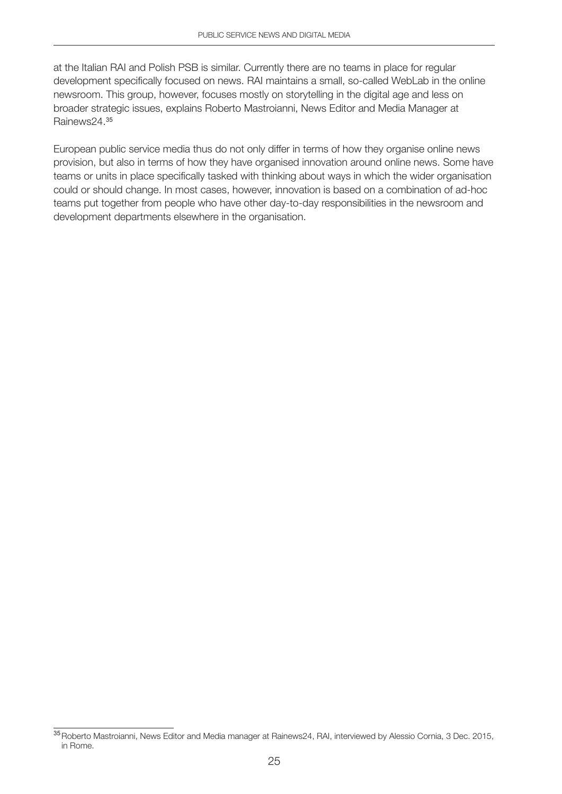at the Italian RAI and Polish PSB is similar. Currently there are no teams in place for regular development specifically focused on news. RAI maintains a small, so-called WebLab in the online newsroom. this group, however, focuses mostly on storytelling in the digital age and less on broader strategic issues, explains Roberto Mastroianni, News Editor and Media Manager at Rainews24.<sup>35</sup>

European public service media thus do not only differ in terms of how they organise online news provision, but also in terms of how they have organised innovation around online news. Some have teams or units in place specifically tasked with thinking about ways in which the wider organisation could or should change. in most cases, however, innovation is based on a combination of ad-hoc teams put together from people who have other day-to-day responsibilities in the newsroom and development departments elsewhere in the organisation.

<sup>35</sup> Roberto Mastroianni, News Editor and Media manager at Rainews24, RAI, interviewed by Alessio Cornia, 3 Dec. 2015, in Rome.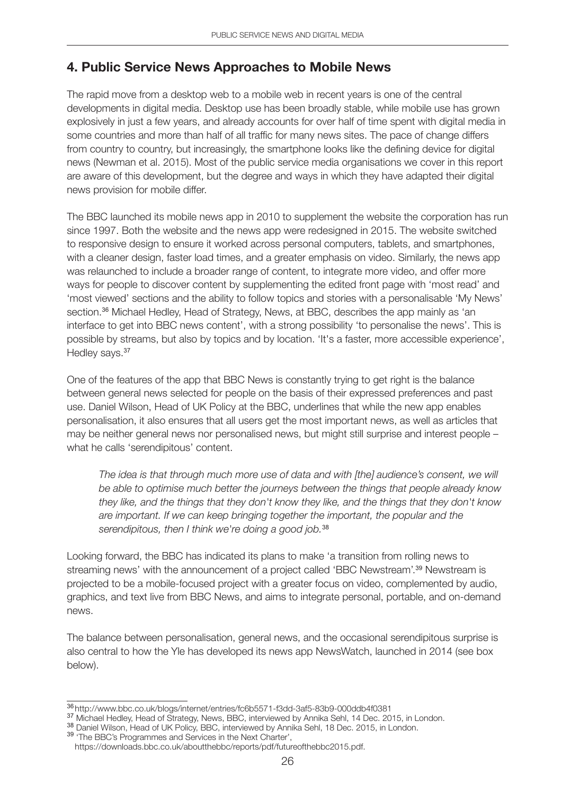# **4. Public Service News Approaches to Mobile News**

The rapid move from a desktop web to a mobile web in recent years is one of the central developments in digital media. Desktop use has been broadly stable, while mobile use has grown explosively in just a few years, and already accounts for over half of time spent with digital media in some countries and more than half of all traffic for many news sites. The pace of change differs from country to country, but increasingly, the smartphone looks like the defining device for digital news (Newman et al. 2015). Most of the public service media organisations we cover in this report are aware of this development, but the degree and ways in which they have adapted their digital news provision for mobile differ.

The BBC launched its mobile news app in 2010 to supplement the website the corporation has run since 1997. Both the website and the news app were redesigned in 2015. The website switched to responsive design to ensure it worked across personal computers, tablets, and smartphones, with a cleaner design, faster load times, and a greater emphasis on video. Similarly, the news app was relaunched to include a broader range of content, to integrate more video, and offer more ways for people to discover content by supplementing the edited front page with 'most read' and 'most viewed' sections and the ability to follow topics and stories with a personalisable 'My News' section.<sup>36</sup> Michael Hedley, Head of Strategy, News, at BBC, describes the app mainly as 'an interface to get into BBC news content', with a strong possibility 'to personalise the news'. This is possible by streams, but also by topics and by location. 'it's a faster, more accessible experience', Hedley says.<sup>37</sup>

One of the features of the app that BBC News is constantly trying to get right is the balance between general news selected for people on the basis of their expressed preferences and past use. Daniel Wilson, Head of UK Policy at the BBC, underlines that while the new app enables personalisation, it also ensures that all users get the most important news, as well as articles that may be neither general news nor personalised news, but might still surprise and interest people – what he calls 'serendipitous' content.

*The idea is that through much more use of data and with [the] audience's consent, we will be able to optimise much better the journeys between the things that people already know they like, and the things that they don't know they like, and the things that they don't know are important. If we can keep bringing together the important, the popular and the serendipitous, then I think we're doing a good job.* 38

Looking forward, the BBC has indicated its plans to make 'a transition from rolling news to streaming news' with the announcement of a project called 'BBC Newstream'.<sup>39</sup> Newstream is projected to be a mobile-focused project with a greater focus on video, complemented by audio, graphics, and text live from BBC News, and aims to integrate personal, portable, and on-demand news.

the balance between personalisation, general news, and the occasional serendipitous surprise is also central to how the Yle has developed its news app Newswatch, launched in 2014 (see box below).

<sup>36</sup> http://www.bbc.co.uk/blogs/internet/entries/fc6b5571-f3dd-3af5-83b9-000ddb4f0381

<sup>&</sup>lt;sup>37</sup> Michael Hedley, Head of Strategy, News, BBC, interviewed by Annika Sehl, 14 Dec. 2015, in London.<br><sup>38</sup> Daniel Wilson, Head of UK Policy, BBC, interviewed by Annika Sehl, 18 Dec. 2015, in London.<br><sup>39</sup> 'The BBC's Progra

https://downloads.bbc.co.uk/aboutthebbc/reports/pdf/futureofthebbc2015.pdf.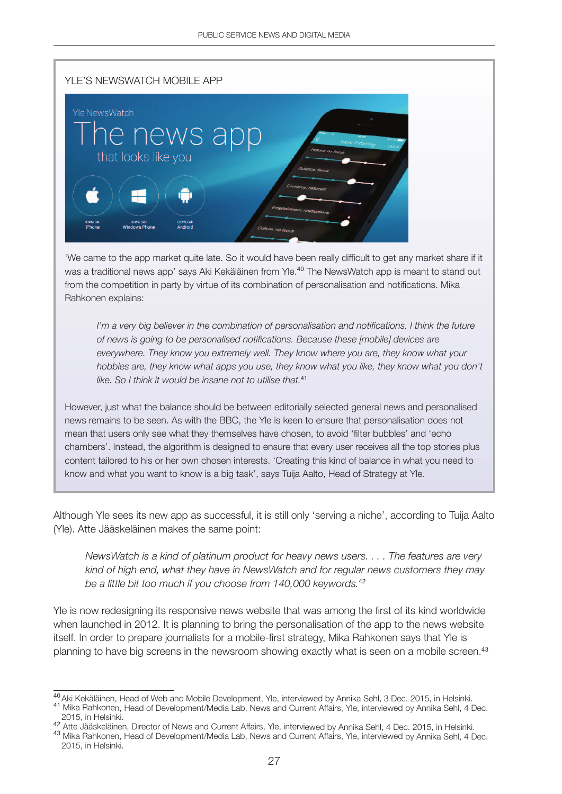#### YI F'S NEWSWATCH MOBILE APP



'we came to the app market quite late. So it would have been really difficult to get any market share if it was a traditional news app' says Aki Kekäläinen from Yle.<sup>40</sup> The NewsWatch app is meant to stand out from the competition in party by virtue of its combination of personalisation and notifications. Mika Rahkonen explains:

*I'm a very big believer in the combination of personalisation and notifications. I think the future of news is going to be personalised notifications. Because these [mobile] devices are everywhere. They know you extremely well. They know where you are, they know what your hobbies are, they know what apps you use, they know what you like, they know what you don't like. So I think it would be insane not to utilise that.* 41

However, just what the balance should be between editorially selected general news and personalised news remains to be seen. As with the BBC, the Yle is keen to ensure that personalisation does not mean that users only see what they themselves have chosen, to avoid 'filter bubbles' and 'echo chambers'. instead, the algorithm is designed to ensure that every user receives all the top stories plus content tailored to his or her own chosen interests. 'creating this kind of balance in what you need to know and what you want to know is a big task', says tuija aalto, Head of Strategy at Yle.

although Yle sees its new app as successful, it is still only 'serving a niche', according to tuija aalto (Yle). atte Jääskeläinen makes the same point:

*NewsWatch is a kind of platinum product for heavy news users. . . . The features are very kind of high end, what they have in NewsWatch and for regular news customers they may be a little bit too much if you choose from 140,000 keywords.* 42

Yle is now redesigning its responsive news website that was among the first of its kind worldwide when launched in 2012. it is planning to bring the personalisation of the app to the news website itself. In order to prepare journalists for a mobile-first strategy, Mika Rahkonen says that Yle is planning to have big screens in the newsroom showing exactly what is seen on a mobile screen.<sup>43</sup>

<sup>&</sup>lt;sup>40</sup> Aki Kekäläinen, Head of Web and Mobile Development, Yle, interviewed by Annika Sehl, 3 Dec. 2015, in Helsinki.<br><sup>41</sup> Mika Rahkonen, Head of Development/Media Lab, News and Current Affairs, Yle, interviewed by Annika Se 2015, in Helsinki.

<sup>42</sup> Atte Jääskeläinen, Director of News and Current Affairs, Yle, interviewed by Annika Sehl, 4 Dec. 2015, in Helsinki.<br><sup>43</sup> Mika Rahkonen, Head of Development/Media Lab, News and Current Affairs, Yle, interviewed by Annika

<sup>2015,</sup> in Helsinki.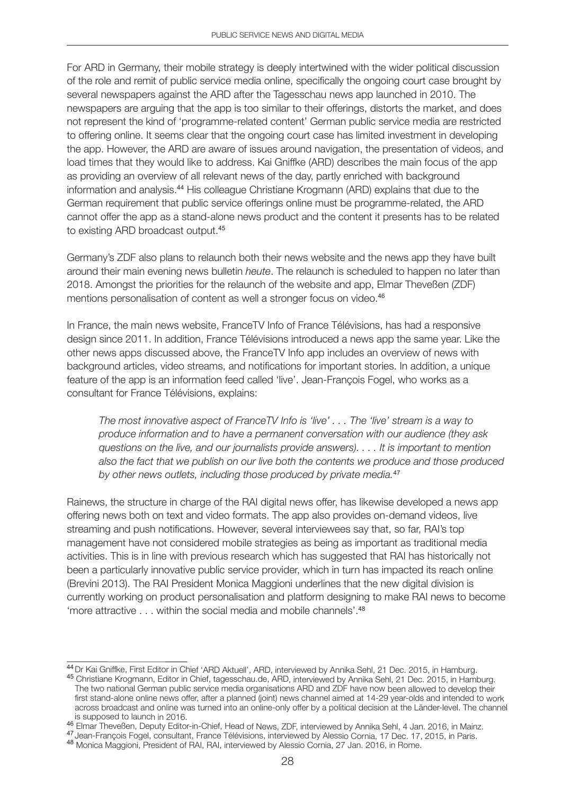For ARD in Germany, their mobile strategy is deeply intertwined with the wider political discussion of the role and remit of public service media online, specifically the ongoing court case brought by several newspapers against the ARD after the Tagesschau news app launched in 2010. The newspapers are arguing that the app is too similar to their offerings, distorts the market, and does not represent the kind of 'programme-related content' german public service media are restricted to offering online. it seems clear that the ongoing court case has limited investment in developing the app. However, the ARD are aware of issues around navigation, the presentation of videos, and load times that they would like to address. Kai Gniffke (ARD) describes the main focus of the app as providing an overview of all relevant news of the day, partly enriched with background information and analysis.<sup>44</sup> His colleague Christiane Krogmann (ARD) explains that due to the German requirement that public service offerings online must be programme-related, the ARD cannot offer the app as a stand-alone news product and the content it presents has to be related to existing ARD broadcast output.<sup>45</sup>

germany's ZdF also plans to relaunch both their news website and the news app they have built around their main evening news bulletin *heute*. The relaunch is scheduled to happen no later than 2018. Amongst the priorities for the relaunch of the website and app, Elmar Theveßen (ZDF) mentions personalisation of content as well a stronger focus on video. 46

In France, the main news website, FranceTV Info of France Télévisions, has had a responsive design since 2011. In addition, France Télévisions introduced a news app the same year. Like the other news apps discussed above, the FranceTV Info app includes an overview of news with background articles, video streams, and notifications for important stories. in addition, a unique feature of the app is an information feed called 'live'. Jean-François Fogel, who works as a consultant for France Télévisions, explains:

*The most innovative aspect of FranceTV Info is 'live' . . . The 'live' stream is a way to produce information and to have a permanent conversation with our audience (they ask questions on the live, and our journalists provide answers). . . . It is important to mention also the fact that we publish on our live both the contents we produce and those produced by other news outlets, including those produced by private media.* 47

Rainews, the structure in charge of the RAI digital news offer, has likewise developed a news app offering news both on text and video formats. the app also provides on-demand videos, live streaming and push notifications. However, several interviewees say that, so far, RAI's top management have not considered mobile strategies as being as important as traditional media activities. This is in line with previous research which has suggested that RAI has historically not been a particularly innovative public service provider, which in turn has impacted its reach online (Brevini 2013). The RAI President Monica Maggioni underlines that the new digital division is currently working on product personalisation and platform designing to make RAI news to become 'more attractive . . . within the social media and mobile channels'. 48

<sup>46</sup> Elmar Theveßen, Deputy Editor-in-Chief, Head of News, ZDF, interviewed by Annika Sehl, 4 Jan. 2016, in Mainz.<br><sup>47</sup> Jean-François Fogel, consultant, France Télévisions, interviewed by Alessio Cornia, 17 Dec. 17, 2015,

<sup>&</sup>lt;sup>44</sup> Dr Kai Gniffke, First Editor in Chief 'ARD Aktuell', ARD, interviewed by Annika Sehl, 21 Dec. 2015, in Hamburg.<br><sup>45</sup> Christiane Krogmann, Editor in Chief, tagesschau.de, ARD, interviewed by Annika Sehl, 21 Dec. 2015, The two national German public service media organisations ARD and ZDF have now been allowed to develop their first stand-alone online news offer, after <sup>a</sup> planned (joint) news channel aimed at 14-29 year-olds and intended to work across broadcast and online was turned into an online-only offer by a political decision at the Länder-level. The channel is supposed to launch in 2016.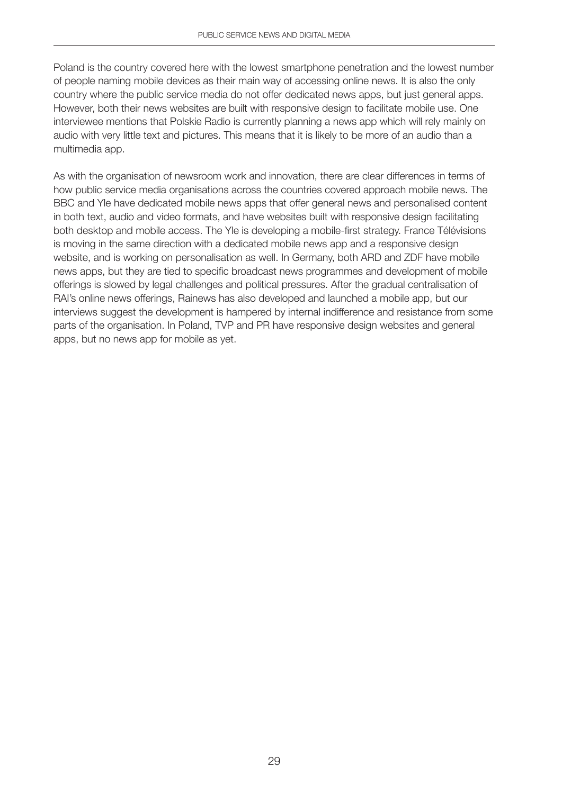Poland is the country covered here with the lowest smartphone penetration and the lowest number of people naming mobile devices as their main way of accessing online news. it is also the only country where the public service media do not offer dedicated news apps, but just general apps. However, both their news websites are built with responsive design to facilitate mobile use. One interviewee mentions that Polskie Radio is currently planning a news app which will rely mainly on audio with very little text and pictures. This means that it is likely to be more of an audio than a multimedia app.

As with the organisation of newsroom work and innovation, there are clear differences in terms of how public service media organisations across the countries covered approach mobile news. The bbc and Yle have dedicated mobile news apps that offer general news and personalised content in both text, audio and video formats, and have websites built with responsive design facilitating both desktop and mobile access. The Yle is developing a mobile-first strategy. France Télévisions is moving in the same direction with a dedicated mobile news app and a responsive design website, and is working on personalisation as well. In Germany, both ARD and ZDF have mobile news apps, but they are tied to specific broadcast news programmes and development of mobile offerings is slowed by legal challenges and political pressures. after the gradual centralisation of RAI's online news offerings, Rainews has also developed and launched a mobile app, but our interviews suggest the development is hampered by internal indifference and resistance from some parts of the organisation. In Poland, TVP and PR have responsive design websites and general apps, but no news app for mobile as yet.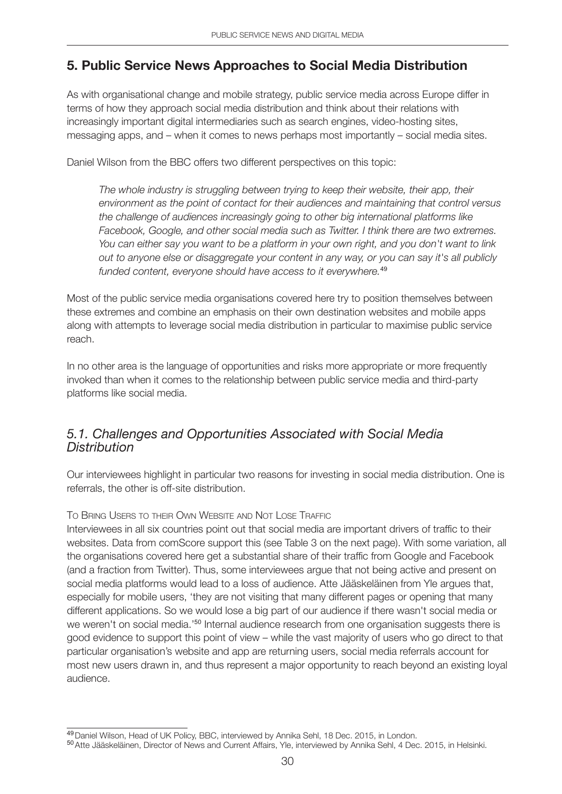# **5. Public Service News Approaches to Social Media Distribution**

As with organisational change and mobile strategy, public service media across Europe differ in terms of how they approach social media distribution and think about their relations with increasingly important digital intermediaries such as search engines, video-hosting sites, messaging apps, and – when it comes to news perhaps most importantly – social media sites.

Daniel Wilson from the BBC offers two different perspectives on this topic:

*The whole industry is struggling between trying to keep their website, their app, their environment as the point of contact for their audiences and maintaining that control versus the challenge of audiences increasingly going to other big international platforms like Facebook, Google, and other social media such as Twitter. I think there are two extremes.* You can either say you want to be a platform in your own right, and you don't want to link *out to anyone else or disaggregate your content in any way, or you can say it's all publicly funded content, everyone should have access to it everywhere.* 49

Most of the public service media organisations covered here try to position themselves between these extremes and combine an emphasis on their own destination websites and mobile apps along with attempts to leverage social media distribution in particular to maximise public service reach.

in no other area is the language of opportunities and risks more appropriate or more frequently invoked than when it comes to the relationship between public service media and third-party platforms like social media.

## *5.1. Challenges and Opportunities Associated with Social Media Distribution*

Our interviewees highlight in particular two reasons for investing in social media distribution. One is referrals, the other is off-site distribution.

#### TO BRING USERS TO THEIR OWN WEBSITE AND NOT LOSE TRAFFIC

interviewees in all six countries point out that social media are important drivers of traffic to their websites. Data from comScore support this (see Table 3 on the next page). With some variation, all the organisations covered here get a substantial share of their traffic from google and Facebook (and a fraction from Twitter). Thus, some interviewees argue that not being active and present on social media platforms would lead to a loss of audience. atte Jääskeläinen from Yle argues that, especially for mobile users, 'they are not visiting that many different pages or opening that many different applications. So we would lose a big part of our audience if there wasn't social media or we weren't on social media.'<sup>50</sup> Internal audience research from one organisation suggests there is good evidence to support this point of view – while the vast majority of users who go direct to that particular organisation's website and app are returning users, social media referrals account for most new users drawn in, and thus represent a major opportunity to reach beyond an existing loyal audience.

<sup>&</sup>lt;sup>49</sup> Daniel Wilson, Head of UK Policy, BBC, interviewed by Annika Sehl, 18 Dec. 2015, in London.<br><sup>50</sup> Atte Jääskeläinen, Director of News and Current Affairs, Yle, interviewed by Annika Sehl, 4 Dec. 2015, in Helsinki.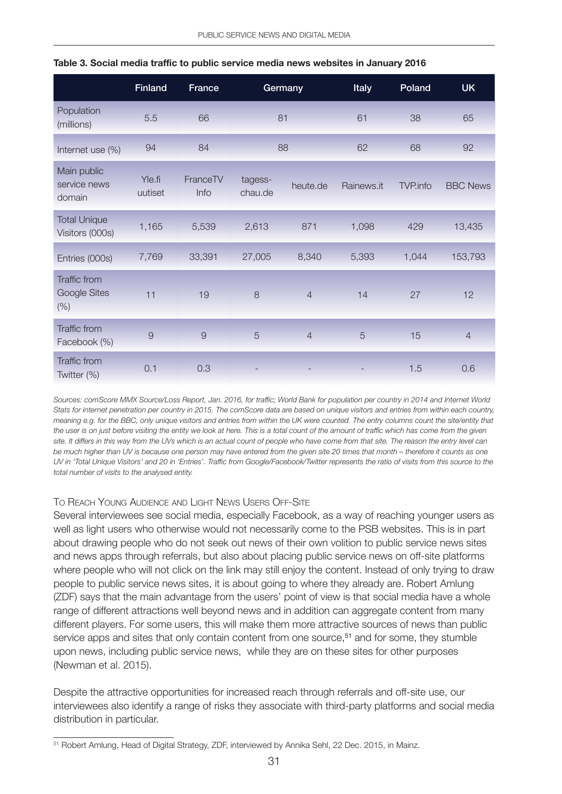|                                                    | <b>Finland</b>    | France           |                    | Germany        | <b>Italy</b> | Poland          | <b>UK</b>       |
|----------------------------------------------------|-------------------|------------------|--------------------|----------------|--------------|-----------------|-----------------|
| Population<br>(millions)                           | 5.5               | 66               | 81                 |                | 61           | 38              | 65              |
| Internet use (%)                                   | 94                | 84               | 88                 |                | 62           | 68              | 92              |
| Main public<br>service news<br>domain              | Yle.fi<br>uutiset | FranceTV<br>Info | tagess-<br>chau.de | heute.de       | Rainews.it   | <b>TVP.info</b> | <b>BBC News</b> |
| <b>Total Unique</b><br>Visitors (000s)             | 1,165             | 5,539            | 2,613              | 871            | 1,098        | 429             | 13,435          |
| Entries (000s)                                     | 7,769             | 33,391           | 27,005             | 8,340          | 5,393        | 1,044           | 153,793         |
| <b>Traffic from</b><br><b>Google Sites</b><br>(% ) | 11                | 19               | 8                  | $\overline{4}$ | 14           | 27              | 12              |
| <b>Traffic from</b><br>Facebook (%)                | 9                 | $\overline{9}$   | 5                  | $\overline{4}$ | 5            | 15              | $\overline{4}$  |
| <b>Traffic from</b><br>Twitter (%)                 | 0.1               | 0.3              |                    |                |              | 1.5             | 0.6             |

Sources: comScore MMX Source/Loss Report, Jan. 2016, for traffic; World Bank for population per country in 2014 and Internet World Stats for internet penetration per country in 2015. The comScore data are based on unique visitors and entries from within each country, meaning e.g. for the BBC, only unique visitors and entries from within the UK were counted. The entry columns count the site/entity that the user is on just before visiting the entity we look at here. This is a total count of the amount of traffic which has come from the given site. It differs in this way from the UVs which is an actual count of people who have come from that site. The reason the entry level can be much higher than UV is because one person may have entered from the given site 20 times that month - therefore it counts as one UV in 'Total Unique Visitors' and 20 in 'Entries'. Traffic from Google/Facebook/Twitter represents the ratio of visits from this source to the *total number of visits to the analysed entity.*

#### TO REACH YOUNG AUDIENCE AND LIGHT NEWS USERS OFF-SITE

Several interviewees see social media, especially Facebook, as a way of reaching younger users as well as light users who otherwise would not necessarily come to the PSB websites. This is in part about drawing people who do not seek out news of their own volition to public service news sites and news apps through referrals, but also about placing public service news on off-site platforms where people who will not click on the link may still enjoy the content. Instead of only trying to draw people to public service news sites, it is about going to where they already are. Robert Amlung (ZDF) says that the main advantage from the users' point of view is that social media have a whole range of different attractions well beyond news and in addition can aggregate content from many different players. For some users, this will make them more attractive sources of news than public service apps and sites that only contain content from one source,<sup>51</sup> and for some, they stumble upon news, including public service news, while they are on these sites for other purposes (Newman et al. 2015).

Despite the attractive opportunities for increased reach through referrals and off-site use, our interviewees also identify a range of risks they associate with third-party platforms and social media distribution in particular.

<sup>&</sup>lt;sup>51</sup> Robert Amlung, Head of Digital Strategy, ZDF, interviewed by Annika Sehl, 22 Dec. 2015, in Mainz.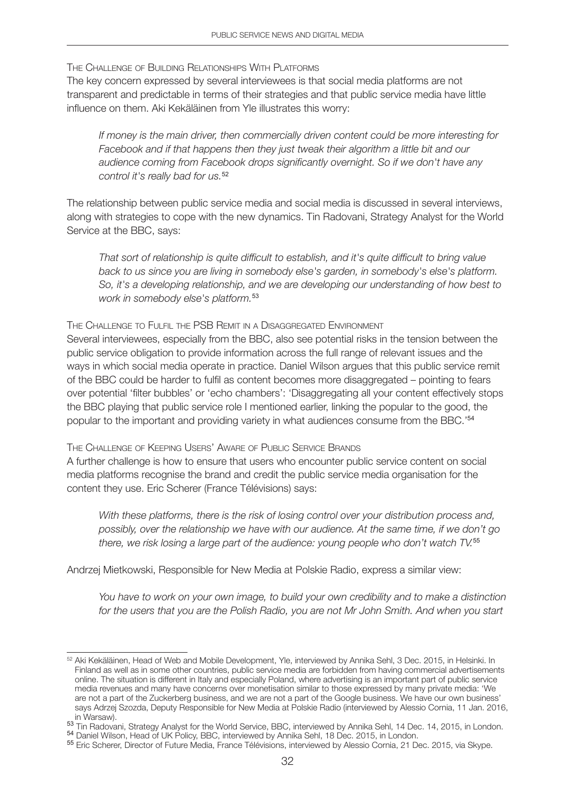#### THE CHALLENGE OF BUILDING RELATIONSHIPS WITH PLATFORMS

The key concern expressed by several interviewees is that social media platforms are not transparent and predictable in terms of their strategies and that public service media have little influence on them. Aki Kekäläinen from Yle illustrates this worry:

*If money is the main driver, then commercially driven content could be more interesting for Facebook and if that happens then they just tweak their algorithm a little bit and our audience coming from Facebook drops significantly overnight. So if we don't have any control it's really bad for us.* 52

The relationship between public service media and social media is discussed in several interviews, along with strategies to cope with the new dynamics. Tin Radovani, Strategy Analyst for the World Service at the BBC, says:

*That sort of relationship is quite difficult to establish, and it's quite difficult to bring value back to us since you are living in somebody else's garden, in somebody's else's platform. So, it's a developing relationship, and we are developing our understanding of how best to work in somebody else's platform.* 53

#### THE CHALLENGE TO FULFIL THE PSB REMIT IN A DISAGGREGATED ENVIRONMENT

Several interviewees, especially from the BBC, also see potential risks in the tension between the public service obligation to provide information across the full range of relevant issues and the ways in which social media operate in practice. Daniel Wilson argues that this public service remit of the bbc could be harder to fulfil as content becomes more disaggregated – pointing to fears over potential 'filter bubbles' or 'echo chambers': 'disaggregating all your content effectively stops the bbc playing that public service role i mentioned earlier, linking the popular to the good, the popular to the important and providing variety in what audiences consume from the BBC.'<sup>54</sup>

#### THE CHALLENGE OF KEEPING USERS' AWARE OF PUBLIC SERVICE BRANDS

a further challenge is how to ensure that users who encounter public service content on social media platforms recognise the brand and credit the public service media organisation for the content they use. Eric Scherer (France Télévisions) says:

*With these platforms, there is the risk of losing control over your distribution process and, possibly, over the relationship we have with our audience. At the same time, if we don't go there, we risk losing a large part of the audience: young people who don't watch TV.* 55

Andrzej Mietkowski, Responsible for New Media at Polskie Radio, express a similar view:

*You have to work on your own image, to build your own credibility and to make a distinction for the users that you are the Polish Radio, you are not Mr John Smith. And when you start*

<sup>&</sup>lt;sup>52</sup> Aki Kekäläinen, Head of Web and Mobile Development, Yle, interviewed by Annika Sehl, 3 Dec. 2015, in Helsinki. In Finland as well as in some other countries, public service media are forbidden from having commercial advertisements online. the situation is different in italy and especially Poland, where advertising is an important part of public service media revenues and many have concerns over monetisation similar to those expressed by many private media: 'we are not a part of the Zuckerberg business, and we are not a part of the google business. we have our own business' says Adrzej Szozda, Deputy Responsible for New Media at Polskie Radio (interviewed by Alessio Cornia, 11 Jan. 2016,<br>in Warsaw).

<sup>&</sup>lt;sup>53</sup> Tin Radovani, Strategy Analyst for the World Service, BBC, interviewed by Annika Sehl, 14 Dec. 14, 2015, in London.<br><sup>54</sup> Daniel Wilson, Head of UK Policy, BBC, interviewed by Annika Sehl, 18 Dec. 2015, in London.<br><sup>55</sup>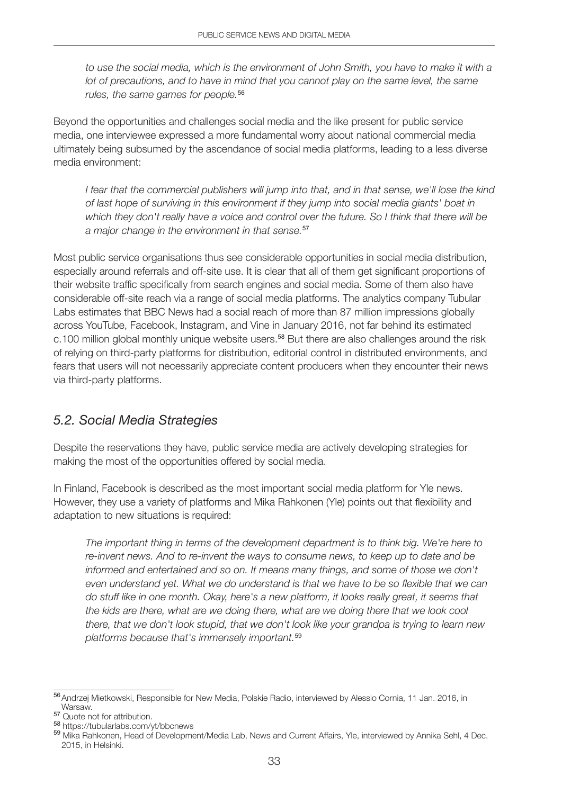*to use the social media, which is the environment of John Smith, you have to make it with a lot of precautions, and to have in mind that you cannot play on the same level, the same rules, the same games for people.* 56

beyond the opportunities and challenges social media and the like present for public service media, one interviewee expressed a more fundamental worry about national commercial media ultimately being subsumed by the ascendance of social media platforms, leading to a less diverse media environment:

*I fear that the commercial publishers will jump into that, and in that sense, we'll lose the kind of last hope of surviving in this environment if they jump into social media giants' boat in* which they don't really have a voice and control over the future. So I think that there will be *a major change in the environment in that sense.* 57

Most public service organisations thus see considerable opportunities in social media distribution, especially around referrals and off-site use. it is clear that all of them get significant proportions of their website traffic specifically from search engines and social media. Some of them also have considerable off-site reach via a range of social media platforms. the analytics company tubular Labs estimates that BBC News had a social reach of more than 87 million impressions globally across Youtube, Facebook, instagram, and vine in January 2016, not far behind its estimated c.100 million global monthly unique website users.<sup>58</sup> But there are also challenges around the risk of relying on third-party platforms for distribution, editorial control in distributed environments, and fears that users will not necessarily appreciate content producers when they encounter their news via third-party platforms.

# *5.2. Social Media Strategies*

Despite the reservations they have, public service media are actively developing strategies for making the most of the opportunities offered by social media.

in Finland, Facebook is described as the most important social media platform for Yle news. However, they use a variety of platforms and Mika Rahkonen (Yle) points out that flexibility and adaptation to new situations is required:

*The important thing in terms of the development department is to think big. We're here to re-invent news. And to re-invent the ways to consume news, to keep up to date and be informed and entertained and so on. It means many things, and some of those we don't even understand yet. What we do understand is that we have to be so flexible that we can do stuff like in one month. Okay, here's a new platform, it looks really great, it seems that the kids are there, what are we doing there, what are we doing there that we look cool there, that we don't look stupid, that we don't look like your grandpa is trying to learn new platforms because that's immensely important.* 59

<sup>56</sup> Andrzej Mietkowski, Responsible for New Media, Polskie Radio, interviewed by Alessio Cornia, 11 Jan. 2016, in Warsaw.<br><sup>57</sup> Quote not for attribution.<br><sup>58</sup> https://tubularlabs.com/yt/bbcnews

<sup>59</sup> Mika Rahkonen, Head of Development/Media Lab, News and Current Affairs, Yle, interviewed by Annika Sehl, 4 Dec. 2015, in Helsinki.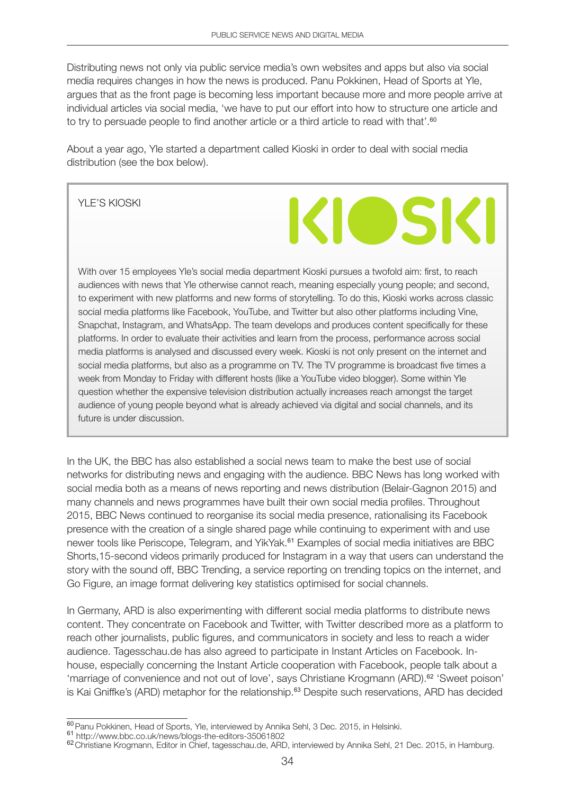Distributing news not only via public service media's own websites and apps but also via social media requires changes in how the news is produced. Panu Pokkinen, Head of Sports at Yle, argues that as the front page is becoming less important because more and more people arrive at individual articles via social media, 'we have to put our effort into how to structure one article and to try to persuade people to find another article or a third article to read with that'.<sup>60</sup>

about a year ago, Yle started a department called Kioski in order to deal with social media distribution (see the box below).

YI F'S KIOSKI



with over 15 employees Yle's social media department Kioski pursues a twofold aim: first, to reach audiences with news that Yle otherwise cannot reach, meaning especially young people; and second, to experiment with new platforms and new forms of storytelling. to do this, Kioski works across classic social media platforms like Facebook, YouTube, and Twitter but also other platforms including Vine, Snapchat, Instagram, and WhatsApp. The team develops and produces content specifically for these platforms. in order to evaluate their activities and learn from the process, performance across social media platforms is analysed and discussed every week. Kioski is not only present on the internet and social media platforms, but also as a programme on TV. The TV programme is broadcast five times a week from Monday to Friday with different hosts (like a Youtube video blogger). Some within Yle question whether the expensive television distribution actually increases reach amongst the target audience of young people beyond what is already achieved via digital and social channels, and its future is under discussion.

In the UK, the BBC has also established a social news team to make the best use of social networks for distributing news and engaging with the audience. BBC News has long worked with social media both as a means of news reporting and news distribution (Belair-Gagnon 2015) and many channels and news programmes have built their own social media profiles. throughout 2015, BBC News continued to reorganise its social media presence, rationalising its Facebook presence with the creation of a single shared page while continuing to experiment with and use newer tools like Periscope, Telegram, and YikYak.<sup>61</sup> Examples of social media initiatives are BBC Shorts,15-second videos primarily produced for instagram in a way that users can understand the story with the sound off, BBC Trending, a service reporting on trending topics on the internet, and go Figure, an image format delivering key statistics optimised for social channels.

In Germany, ARD is also experimenting with different social media platforms to distribute news content. They concentrate on Facebook and Twitter, with Twitter described more as a platform to reach other journalists, public figures, and communicators in society and less to reach a wider audience. tagesschau.de has also agreed to participate in instant articles on Facebook. inhouse, especially concerning the Instant Article cooperation with Facebook, people talk about a 'marriage of convenience and not out of love', says Christiane Krogmann (ARD).<sup>62</sup> 'Sweet poison' is Kai Gniffke's (ARD) metaphor for the relationship.<sup>63</sup> Despite such reservations, ARD has decided

<sup>&</sup>lt;sup>60</sup> Panu Pokkinen, Head of Sports, Yle, interviewed by Annika Sehl, 3 Dec. 2015, in Helsinki.<br><sup>61</sup> http://www.bbc.co.uk/news/blogs-the-editors-35061802

<sup>62</sup> Christiane Krogmann, Editor in Chief, tagesschau.de, ARD, interviewed by Annika Sehl, 21 Dec. 2015, in Hamburg.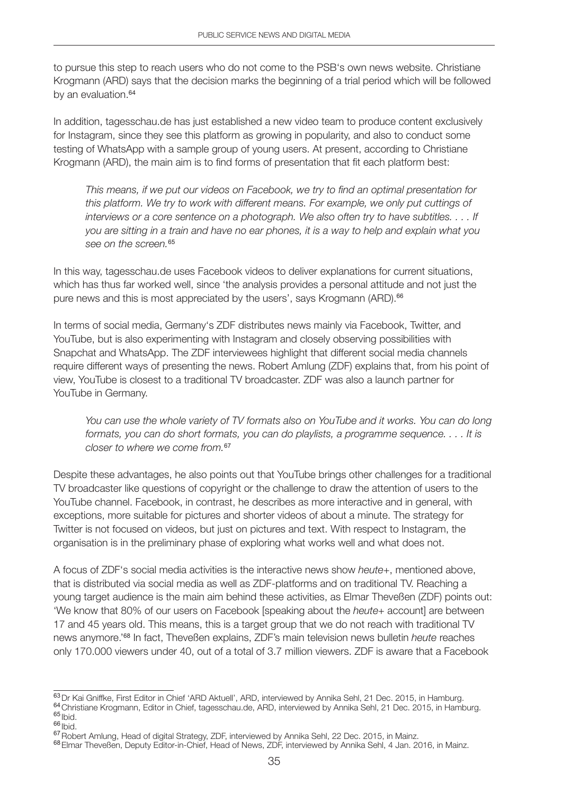to pursue this step to reach users who do not come to the PSB's own news website. Christiane Krogmann (ARD) says that the decision marks the beginning of a trial period which will be followed by an evaluation. 64

in addition, tagesschau.de has just established a new video team to produce content exclusively for instagram, since they see this platform as growing in popularity, and also to conduct some testing of WhatsApp with a sample group of young users. At present, according to Christiane Krogmann (ARD), the main aim is to find forms of presentation that fit each platform best:

*This means, if we put our videos on Facebook, we try to find an optimal presentation for this platform. We try to work with different means. For example, we only put cuttings of* interviews or a core sentence on a photograph. We also often try to have subtitles.  $\dots$  If you are sitting in a train and have no ear phones, it is a way to help and explain what you *see on the screen.* 65

in this way, tagesschau.de uses Facebook videos to deliver explanations for current situations, which has thus far worked well, since 'the analysis provides a personal attitude and not just the pure news and this is most appreciated by the users', says Krogmann (ARD).<sup>66</sup>

In terms of social media, Germany's ZDF distributes news mainly via Facebook, Twitter, and YouTube, but is also experimenting with Instagram and closely observing possibilities with Snapchat and WhatsApp. The ZDF interviewees highlight that different social media channels require different ways of presenting the news. Robert Amlung (ZDF) explains that, from his point of view, YouTube is closest to a traditional TV broadcaster. ZDF was also a launch partner for YouTube in Germany.

*You can use the whole variety of TV formats also on YouTube and it works. You can do long formats, you can do short formats, you can do playlists, a programme sequence. . . . It is closer to where we come from.* 67

Despite these advantages, he also points out that YouTube brings other challenges for a traditional tv broadcaster like questions of copyright or the challenge to draw the attention of users to the YouTube channel. Facebook, in contrast, he describes as more interactive and in general, with exceptions, more suitable for pictures and shorter videos of about a minute. The strategy for twitter is not focused on videos, but just on pictures and text. with respect to instagram, the organisation is in the preliminary phase of exploring what works well and what does not.

a focus of ZdF's social media activities is the interactive news show *heute+*, mentioned above, that is distributed via social media as well as ZDF-platforms and on traditional TV. Reaching a young target audience is the main aim behind these activities, as Elmar Theveßen (ZDF) points out: 'we know that 80% of our users on Facebook [speaking about the *heute+* account] are between 17 and 45 years old. This means, this is a target group that we do not reach with traditional TV news anymore.'<sup>68</sup> in fact, theveßen explains, ZdF's main television news bulletin *heute* reaches only 170.000 viewers under 40, out of a total of 3.7 million viewers. ZdF is aware that a Facebook

<sup>&</sup>lt;sup>63</sup>Dr Kai Gniffke, First Editor in Chief 'ARD Aktuell', ARD, interviewed by Annika Sehl, 21 Dec. 2015, in Hamburg.<br><sup>64</sup>Christiane Krogmann, Editor in Chief, tagesschau.de, ARD, interviewed by Annika Sehl, 21 Dec. 2015, i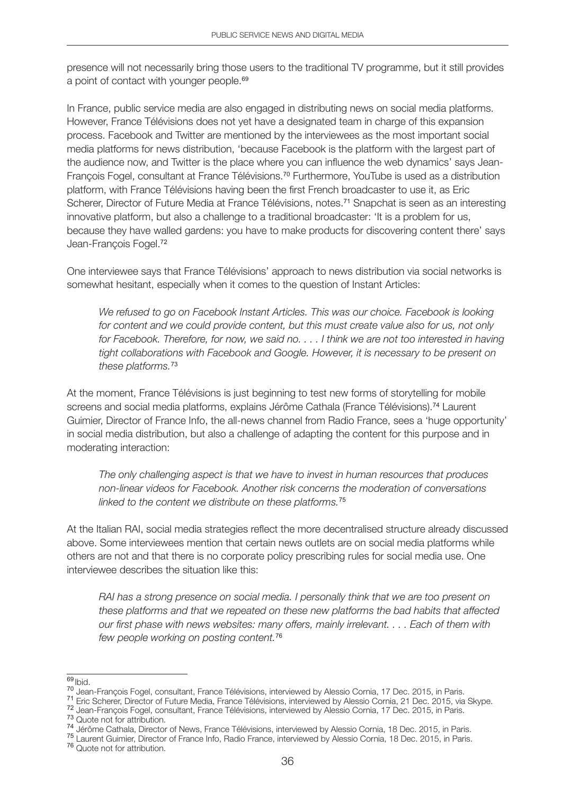presence will not necessarily bring those users to the traditional tv programme, but it still provides a point of contact with younger people.<sup>69</sup>

in France, public service media are also engaged in distributing news on social media platforms. However, France Télévisions does not yet have a designated team in charge of this expansion process. Facebook and twitter are mentioned by the interviewees as the most important social media platforms for news distribution, 'because Facebook is the platform with the largest part of the audience now, and twitter is the place where you can influence the web dynamics' says Jean-François Fogel, consultant at France Télévisions.<sup>70</sup> Furthermore, YouTube is used as a distribution platform, with France Télévisions having been the first French broadcaster to use it, as Eric Scherer, Director of Future Media at France Télévisions, notes.<sup>71</sup> Snapchat is seen as an interesting innovative platform, but also a challenge to a traditional broadcaster: 'It is a problem for us, because they have walled gardens: you have to make products for discovering content there' says Jean-François Fogel. 72

One interviewee says that France Télévisions' approach to news distribution via social networks is somewhat hesitant, especially when it comes to the question of instant articles:

*We refused to go on Facebook Instant Articles. This was our choice. Facebook is looking for content and we could provide content, but this must create value also for us, not only* for Facebook. Therefore, for now, we said no. . . . I think we are not too interested in having *tight collaborations with Facebook and Google. However, it is necessary to be present on these platforms.* 73

At the moment, France Télévisions is just beginning to test new forms of storytelling for mobile screens and social media platforms, explains Jérôme Cathala (France Télévisions).<sup>74</sup> Laurent Guimier, Director of France Info, the all-news channel from Radio France, sees a 'huge opportunity' in social media distribution, but also a challenge of adapting the content for this purpose and in moderating interaction:

*The only challenging aspect is that we have to invest in human resources that produces non-linear videos for Facebook. Another risk concerns the moderation of conversations linked to the content we distribute on these platforms.* 75

At the Italian RAI, social media strategies reflect the more decentralised structure already discussed above. Some interviewees mention that certain news outlets are on social media platforms while others are not and that there is no corporate policy prescribing rules for social media use. One interviewee describes the situation like this:

*RAI has a strong presence on social media. I personally think that we are too present on these platforms and that we repeated on these new platforms the bad habits that affected our first phase with news websites: many offers, mainly irrelevant. . . . Each of them with few people working on posting content.* 76

<sup>&</sup>lt;sup>69</sup> Ibid.<br>
<sup>70</sup> Jean-François Fogel, consultant, France Télévisions, interviewed by Alessio Cornia, 17 Dec. 2015, in Paris.<br>
<sup>71</sup> Eric Scherer, Director of Future Media, France Télévisions, interviewed by Alessio Cornia,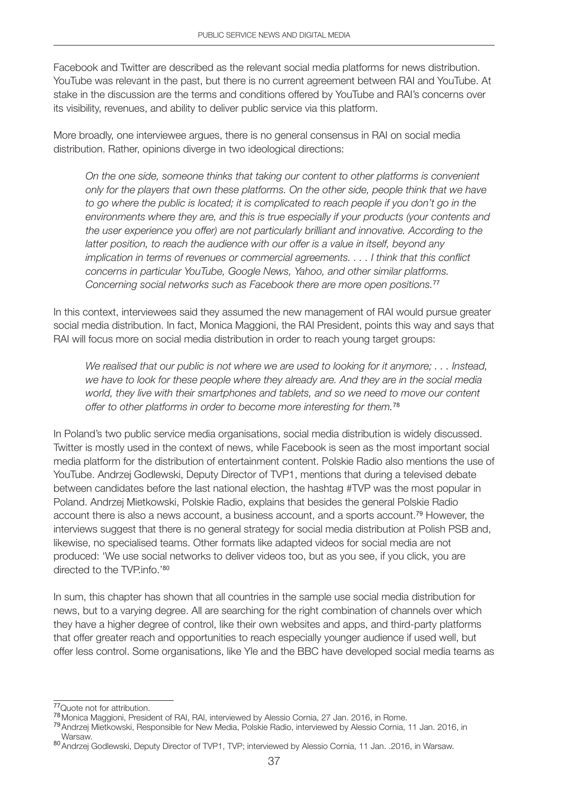Facebook and twitter are described as the relevant social media platforms for news distribution. YouTube was relevant in the past, but there is no current agreement between RAI and YouTube. At stake in the discussion are the terms and conditions offered by YouTube and RAI's concerns over its visibility, revenues, and ability to deliver public service via this platform.

More broadly, one interviewee argues, there is no general consensus in RAI on social media distribution. Rather, opinions diverge in two ideological directions:

*On the one side, someone thinks that taking our content to other platforms is convenient only for the players that own these platforms. On the other side, people think that we have to go where the public is located; it is complicated to reach people if you don't go in the environments where they are, and this is true especially if your products (your contents and the user experience you offer) are not particularly brilliant and innovative. According to the latter position, to reach the audience with our offer is a value in itself, beyond any implication in terms of revenues or commercial agreements. . . . I think that this conflict concerns in particular YouTube, Google News, Yahoo, and other similar platforms. Concerning social networks such as Facebook there are more open positions.* 77

In this context, interviewees said they assumed the new management of RAI would pursue greater social media distribution. In fact, Monica Maggioni, the RAI President, points this way and says that RAI will focus more on social media distribution in order to reach young target groups:

We realised that our public is not where we are used to looking for it anymore; . . . Instead, *we have to look for these people where they already are. And they are in the social media world, they live with their smartphones and tablets, and so we need to move our content offer to other platforms in order to become more interesting for them.* 78

in Poland's two public service media organisations, social media distribution is widely discussed. Twitter is mostly used in the context of news, while Facebook is seen as the most important social media platform for the distribution of entertainment content. Polskie Radio also mentions the use of YouTube. Andrzej Godlewski, Deputy Director of TVP1, mentions that during a televised debate between candidates before the last national election, the hashtag #TVP was the most popular in Poland. Andrzej Mietkowski, Polskie Radio, explains that besides the general Polskie Radio account there is also a news account, a business account, and a sports account. <sup>79</sup> However, the interviews suggest that there is no general strategy for social media distribution at Polish PSB and, likewise, no specialised teams. Other formats like adapted videos for social media are not produced: 'we use social networks to deliver videos too, but as you see, if you click, you are directed to the TVP.info.'80

in sum, this chapter has shown that all countries in the sample use social media distribution for news, but to a varying degree. all are searching for the right combination of channels over which they have a higher degree of control, like their own websites and apps, and third-party platforms that offer greater reach and opportunities to reach especially younger audience if used well, but offer less control. Some organisations, like Yle and the BBC have developed social media teams as

<sup>&</sup>lt;sup>77</sup>Quote not for attribution.<br><sup>78</sup> Monica Maggioni, President of RAI, RAI, interviewed by Alessio Cornia, 27 Jan. 2016, in Rome.<br><sup>79</sup> Andrzej Mietkowski, Responsible for New Media, Polskie Radio, interviewed by Alessio Co

Warsaw.<br><sup>80</sup> Andrzej Godlewski, Deputy Director of TVP1, TVP; interviewed by Alessio Cornia, 11 Jan. .2016, in Warsaw.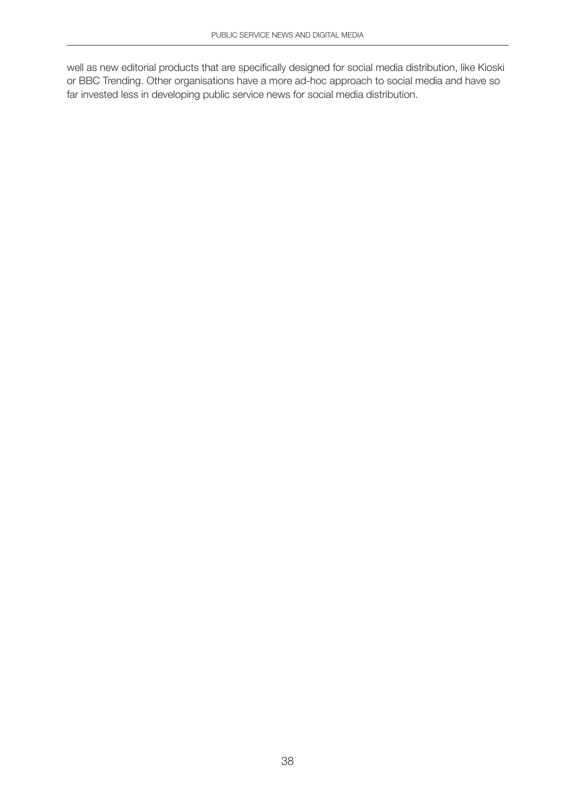well as new editorial products that are specifically designed for social media distribution, like Kioski or BBC Trending. Other organisations have a more ad-hoc approach to social media and have so far invested less in developing public service news for social media distribution.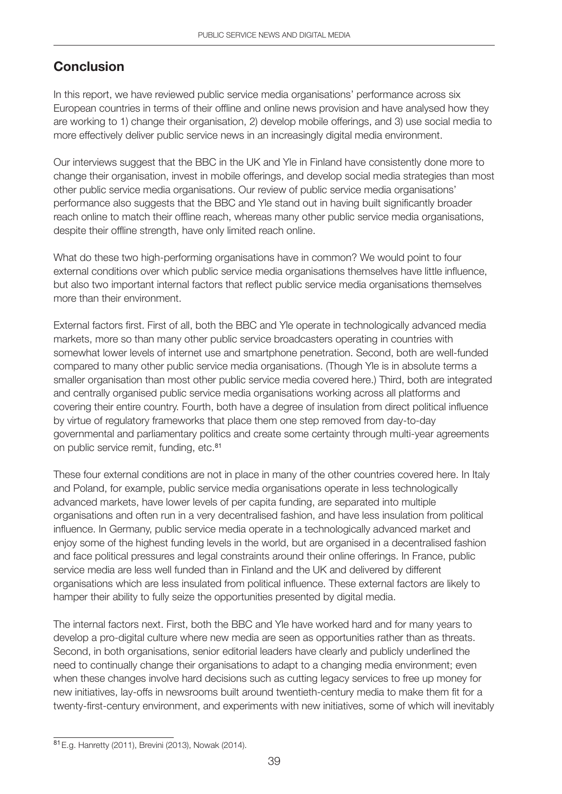# **Conclusion**

in this report, we have reviewed public service media organisations' performance across six European countries in terms of their offline and online news provision and have analysed how they are working to 1) change their organisation, 2) develop mobile offerings, and 3) use social media to more effectively deliver public service news in an increasingly digital media environment.

Our interviews suggest that the BBC in the UK and Yle in Finland have consistently done more to change their organisation, invest in mobile offerings, and develop social media strategies than most other public service media organisations. Our review of public service media organisations' performance also suggests that the BBC and Yle stand out in having built significantly broader reach online to match their offline reach, whereas many other public service media organisations, despite their offline strength, have only limited reach online.

what do these two high-performing organisations have in common? we would point to four external conditions over which public service media organisations themselves have little influence, but also two important internal factors that reflect public service media organisations themselves more than their environment.

External factors first. First of all, both the BBC and Yle operate in technologically advanced media markets, more so than many other public service broadcasters operating in countries with somewhat lower levels of internet use and smartphone penetration. Second, both are well-funded compared to many other public service media organisations. (Though Yle is in absolute terms a smaller organisation than most other public service media covered here.) Third, both are integrated and centrally organised public service media organisations working across all platforms and covering their entire country. Fourth, both have a degree of insulation from direct political influence by virtue of regulatory frameworks that place them one step removed from day-to-day governmental and parliamentary politics and create some certainty through multi-year agreements on public service remit, funding, etc.<sup>81</sup>

These four external conditions are not in place in many of the other countries covered here. In Italy and Poland, for example, public service media organisations operate in less technologically advanced markets, have lower levels of per capita funding, are separated into multiple organisations and often run in a very decentralised fashion, and have less insulation from political influence. in germany, public service media operate in a technologically advanced market and enjoy some of the highest funding levels in the world, but are organised in a decentralised fashion and face political pressures and legal constraints around their online offerings. in France, public service media are less well funded than in Finland and the UK and delivered by different organisations which are less insulated from political influence. these external factors are likely to hamper their ability to fully seize the opportunities presented by digital media.

The internal factors next. First, both the BBC and Yle have worked hard and for many years to develop a pro-digital culture where new media are seen as opportunities rather than as threats. Second, in both organisations, senior editorial leaders have clearly and publicly underlined the need to continually change their organisations to adapt to a changing media environment; even when these changes involve hard decisions such as cutting legacy services to free up money for new initiatives, lay-offs in newsrooms built around twentieth-century media to make them fit for a twenty-first-century environment, and experiments with new initiatives, some of which will inevitably

<sup>81</sup> E.g. Hanretty (2011), Brevini (2013), Nowak (2014).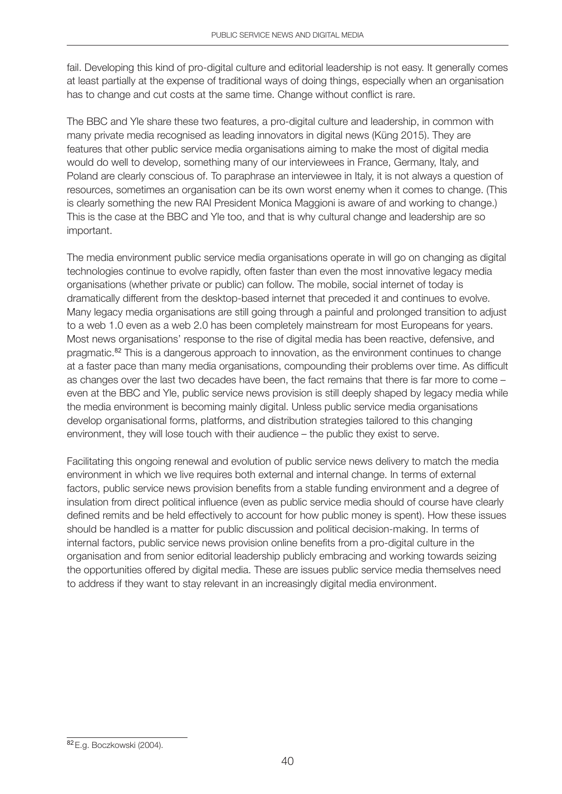fail. Developing this kind of pro-digital culture and editorial leadership is not easy. It generally comes at least partially at the expense of traditional ways of doing things, especially when an organisation has to change and cut costs at the same time. Change without conflict is rare.

The BBC and Yle share these two features, a pro-digital culture and leadership, in common with many private media recognised as leading innovators in digital news (Küng 2015). They are features that other public service media organisations aiming to make the most of digital media would do well to develop, something many of our interviewees in France, Germany, Italy, and Poland are clearly conscious of. To paraphrase an interviewee in Italy, it is not always a question of resources, sometimes an organisation can be its own worst enemy when it comes to change. (This is clearly something the new RAI President Monica Maggioni is aware of and working to change.) This is the case at the BBC and Yle too, and that is why cultural change and leadership are so important.

The media environment public service media organisations operate in will go on changing as digital technologies continue to evolve rapidly, often faster than even the most innovative legacy media organisations (whether private or public) can follow. the mobile, social internet of today is dramatically different from the desktop-based internet that preceded it and continues to evolve. Many legacy media organisations are still going through a painful and prolonged transition to adjust to a web 1.0 even as a web 2.0 has been completely mainstream for most Europeans for vears. Most news organisations' response to the rise of digital media has been reactive, defensive, and pragmatic.<sup>82</sup> This is a dangerous approach to innovation, as the environment continues to change at a faster pace than many media organisations, compounding their problems over time. As difficult as changes over the last two decades have been, the fact remains that there is far more to come – even at the BBC and Yle, public service news provision is still deeply shaped by legacy media while the media environment is becoming mainly digital. Unless public service media organisations develop organisational forms, platforms, and distribution strategies tailored to this changing environment, they will lose touch with their audience – the public they exist to serve.

Facilitating this ongoing renewal and evolution of public service news delivery to match the media environment in which we live requires both external and internal change. in terms of external factors, public service news provision benefits from a stable funding environment and a degree of insulation from direct political influence (even as public service media should of course have clearly defined remits and be held effectively to account for how public money is spent). How these issues should be handled is a matter for public discussion and political decision-making. in terms of internal factors, public service news provision online benefits from a pro-digital culture in the organisation and from senior editorial leadership publicly embracing and working towards seizing the opportunities offered by digital media. These are issues public service media themselves need to address if they want to stay relevant in an increasingly digital media environment.

<sup>82</sup> E.g. Boczkowski (2004).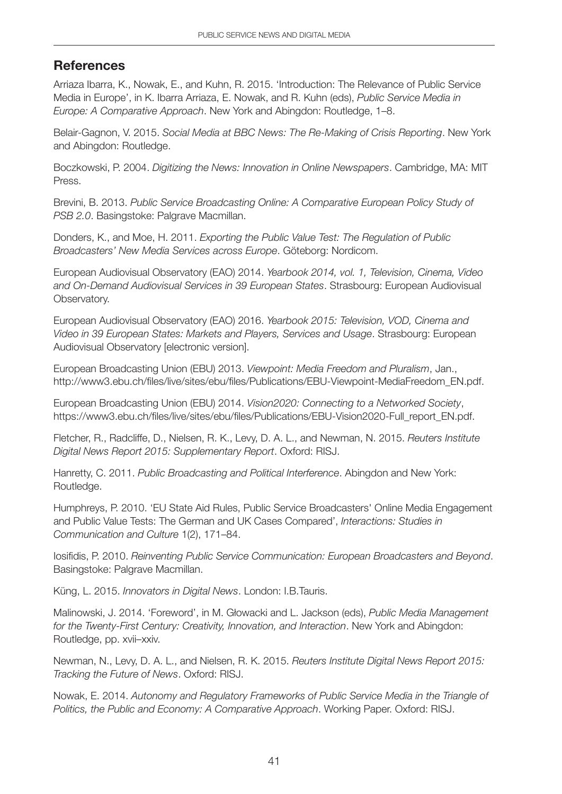## **References**

Arriaza Ibarra, K., Nowak, E., and Kuhn, R. 2015. 'Introduction: The Relevance of Public Service Media in Europe', in K. Ibarra Arriaza, E. Nowak, and R. Kuhn (eds), *Public Service Media in Europe: A Comparative Approach.* New York and Abingdon: Routledge, 1–8.

belair-gagnon, v. 2015. *Social Media at BBC News: The Re-Making of Crisis Reporting*. New York and Abingdon: Routledge.

boczkowski, P. 2004. *Digitizing the News: Innovation in Online Newspapers*. cambridge, Ma: Mit Press.

brevini, b. 2013. *Public Service Broadcasting Online: A Comparative European Policy Study of* **PSB** 2.0. Basingstoke: Palgrave Macmillan.

donders, K., and Moe, H. 2011. *Exporting the Public Value Test: The Regulation of Public Broadcasters' New Media Services across Europe*. göteborg: Nordicom.

european audiovisual Observatory (eaO) 2014. *Yearbook 2014, vol. 1, Television, Cinema, Video and On-Demand Audiovisual Services in 39 European States*. Strasbourg: european audiovisual Observatory.

european audiovisual Observatory (eaO) 2016. *Yearbook 2015: Television, VOD, Cinema and Video in 39 European States: Markets and Players, Services and Usage*. Strasbourg: european Audiovisual Observatory [electronic version].

european broadcasting union (ebu) 2013. *Viewpoint: Media Freedom and Pluralism*, Jan., http://www3.ebu.ch/files/live/sites/ebu/files/Publications/EBU-Viewpoint-MediaFreedom\_EN.pdf.

european broadcasting union (ebu) 2014. *Vision2020: Connecting to a Networked Society*, https://www3.ebu.ch/files/live/sites/ebu/files/Publications/EBU-Vision2020-Full\_report\_EN.pdf.

Fletcher, R., Radcliffe, D., Nielsen, R. K., Levy, D. A. L., and Newman, N. 2015. *Reuters Institute Digital News Report 2015: Supplementary Report. Oxford: RISJ.* 

Hanretty, c. 2011. *Public Broadcasting and Political Interference*. abingdon and New York: Routledge.

Humphreys, P. 2010. 'EU State Aid Rules, Public Service Broadcasters' Online Media Engagement and Public value tests: the german and uK cases compared', *Interactions: Studies in Communication and Culture* 1(2), 171–84.

iosifidis, P. 2010. *Reinventing Public Service Communication: European Broadcasters and Beyond*. basingstoke: Palgrave Macmillan.

Küng, L. 2015. *Innovators in Digital News*. London: I.B.Tauris.

Malinowski, J. 2014. 'Foreword', in M. głowacki and l. Jackson (eds), *Public Media Management for the Twenty-First Century: Creativity, Innovation, and Interaction*. New York and abingdon: Routledge, pp. xvii–xxiv.

Newman, N., Levy, D. A. L., and Nielsen, R. K. 2015. *Reuters Institute Digital News Report* 2015: *Tracking the Future of News. Oxford: RISJ.* 

Nowak, e. 2014. *Autonomy and Regulatory Frameworks of Public Service Media in the Triangle of Politics, the Public and Economy: A Comparative Approach. Working Paper. Oxford: RISJ.*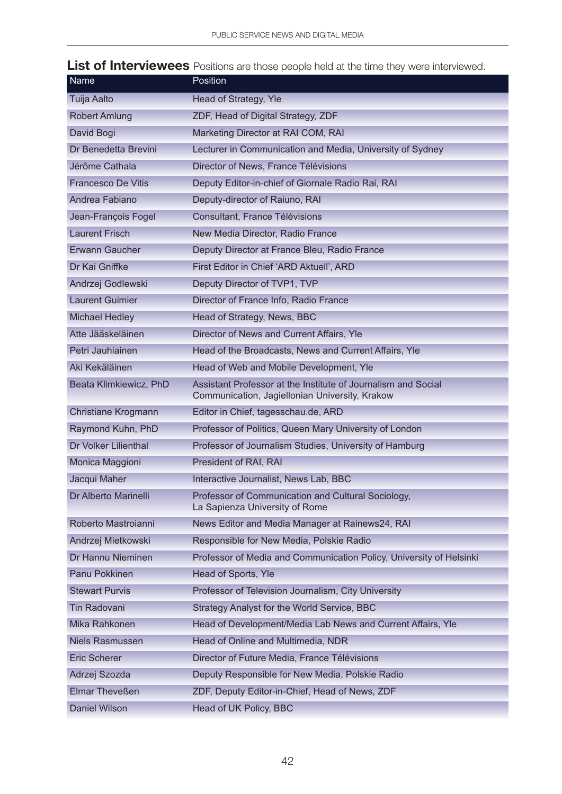| Name                      | Position                                                                                                        |  |  |  |  |
|---------------------------|-----------------------------------------------------------------------------------------------------------------|--|--|--|--|
| Tuija Aalto               | Head of Strategy, Yle                                                                                           |  |  |  |  |
| <b>Robert Amlung</b>      | ZDF, Head of Digital Strategy, ZDF                                                                              |  |  |  |  |
| David Bogi                | Marketing Director at RAI COM, RAI                                                                              |  |  |  |  |
| Dr Benedetta Brevini      | Lecturer in Communication and Media, University of Sydney                                                       |  |  |  |  |
| Jérôme Cathala            | Director of News, France Télévisions                                                                            |  |  |  |  |
| <b>Francesco De Vitis</b> | Deputy Editor-in-chief of Giornale Radio Rai, RAI                                                               |  |  |  |  |
| Andrea Fabiano            | Deputy-director of Raiuno, RAI                                                                                  |  |  |  |  |
| Jean-François Fogel       | Consultant, France Télévisions                                                                                  |  |  |  |  |
| <b>Laurent Frisch</b>     | New Media Director, Radio France                                                                                |  |  |  |  |
| Erwann Gaucher            | Deputy Director at France Bleu, Radio France                                                                    |  |  |  |  |
| Dr Kai Gniffke            | First Editor in Chief 'ARD Aktuell', ARD                                                                        |  |  |  |  |
| Andrzej Godlewski         | Deputy Director of TVP1, TVP                                                                                    |  |  |  |  |
| <b>Laurent Guimier</b>    | Director of France Info, Radio France                                                                           |  |  |  |  |
| <b>Michael Hedley</b>     | Head of Strategy, News, BBC                                                                                     |  |  |  |  |
| Atte Jääskeläinen         | Director of News and Current Affairs, Yle                                                                       |  |  |  |  |
| Petri Jauhiainen          | Head of the Broadcasts, News and Current Affairs, Yle                                                           |  |  |  |  |
| Aki Kekäläinen            | Head of Web and Mobile Development, Yle                                                                         |  |  |  |  |
| Beata Klimkiewicz, PhD    | Assistant Professor at the Institute of Journalism and Social<br>Communication, Jagiellonian University, Krakow |  |  |  |  |
| Christiane Krogmann       | Editor in Chief, tagesschau.de, ARD                                                                             |  |  |  |  |
| Raymond Kuhn, PhD         | Professor of Politics, Queen Mary University of London                                                          |  |  |  |  |
| Dr Volker Lilienthal      | Professor of Journalism Studies, University of Hamburg                                                          |  |  |  |  |
| Monica Maggioni           | President of RAI, RAI                                                                                           |  |  |  |  |
| Jacqui Maher              | Interactive Journalist, News Lab, BBC                                                                           |  |  |  |  |
| Dr Alberto Marinelli      | Professor of Communication and Cultural Sociology,<br>La Sapienza University of Rome                            |  |  |  |  |
| Roberto Mastroianni       | News Editor and Media Manager at Rainews24, RAI                                                                 |  |  |  |  |
| Andrzej Mietkowski        | Responsible for New Media, Polskie Radio                                                                        |  |  |  |  |
| Dr Hannu Nieminen         | Professor of Media and Communication Policy, University of Helsinki                                             |  |  |  |  |
| Panu Pokkinen             | Head of Sports, Yle                                                                                             |  |  |  |  |
| <b>Stewart Purvis</b>     | Professor of Television Journalism, City University                                                             |  |  |  |  |
| <b>Tin Radovani</b>       | Strategy Analyst for the World Service, BBC                                                                     |  |  |  |  |
| Mika Rahkonen             | Head of Development/Media Lab News and Current Affairs, Yle                                                     |  |  |  |  |
| <b>Niels Rasmussen</b>    | Head of Online and Multimedia, NDR                                                                              |  |  |  |  |
| <b>Eric Scherer</b>       | Director of Future Media, France Télévisions                                                                    |  |  |  |  |
| Adrzej Szozda             | Deputy Responsible for New Media, Polskie Radio                                                                 |  |  |  |  |
| <b>Elmar Theveßen</b>     | ZDF, Deputy Editor-in-Chief, Head of News, ZDF                                                                  |  |  |  |  |
| <b>Daniel Wilson</b>      | Head of UK Policy, BBC                                                                                          |  |  |  |  |

**List of Interviewees** Positions are those people held at the time they were interviewed.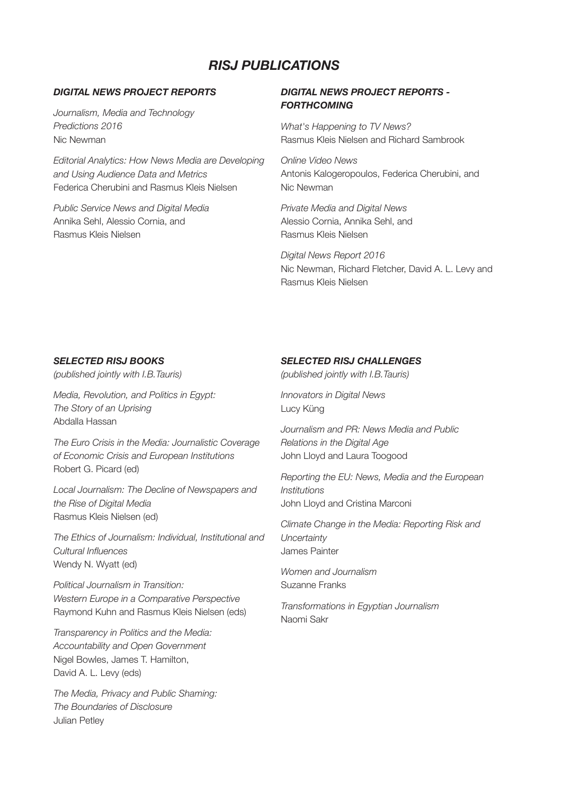## *RISJ PublIcatIonS*

#### *DIGITAL NEWS PROJECT REPORTS*

*Journalism, Media and Technology Predictions 2016* Nic Newman

*Editorial Analytics: How News Media are Developing and Using Audience Data and Metrics* Federica Cherubini and Rasmus Kleis Nielsen

*Public Service News and Digital Media* Annika Sehl, Alessio Cornia, and rasmus Kleis Nielsen

#### *DIGITAL NEWS PROJECT REPORTS - FORTHCOMING*

*What's Happening to TV News?* Rasmus Kleis Nielsen and Richard Sambrook

*Online Video News* antonis Kalogeropoulos, Federica cherubini, and Nic Newman

*Private Media and Digital News* alessio cornia, annika Sehl, and Rasmus Kleis Nielsen

*Digital News Report 2016* Nic Newman, Richard Fletcher, David A. L. Levy and Rasmus Kleis Nielsen

#### *SELECTED RISJ BOOKS*

*(published jointly with I.B.Tauris)*

*Media, Revolution, and Politics in Egypt: The Story of an Uprising* abdalla Hassan

*The Euro Crisis in the Media: Journalistic Coverage of Economic Crisis and European Institutions* Robert G. Picard (ed)

*Local Journalism: The Decline of Newspapers and the Rise of Digital Media* Rasmus Kleis Nielsen (ed)

*The Ethics of Journalism: Individual, Institutional and Cultural Influences* Wendy N. Wyatt (ed)

*Political Journalism in Transition: Western Europe in a Comparative Perspective* Raymond Kuhn and Rasmus Kleis Nielsen (eds)

*Transparency in Politics and the Media: Accountability and Open Government* Nigel Bowles, James T. Hamilton, David A. L. Levy (eds)

*The Media, Privacy and Public Shaming: The Boundaries of Disclosure* Julian Petley

#### *SELECTED RISJ CHALLENGES*

*(published jointly with I.B.Tauris)*

*Innovators in Digital News* lucy Küng

*Journalism and PR: News Media and Public Relations in the Digital Age* John Lloyd and Laura Toogood

*Reporting the EU: News, Media and the European Institutions* John Lloyd and Cristina Marconi

*Climate Change in the Media: Reporting Risk and Uncertainty* James Painter

*Women and Journalism* Suzanne Franks

*Transformations in Egyptian Journalism* Naomi Sakr